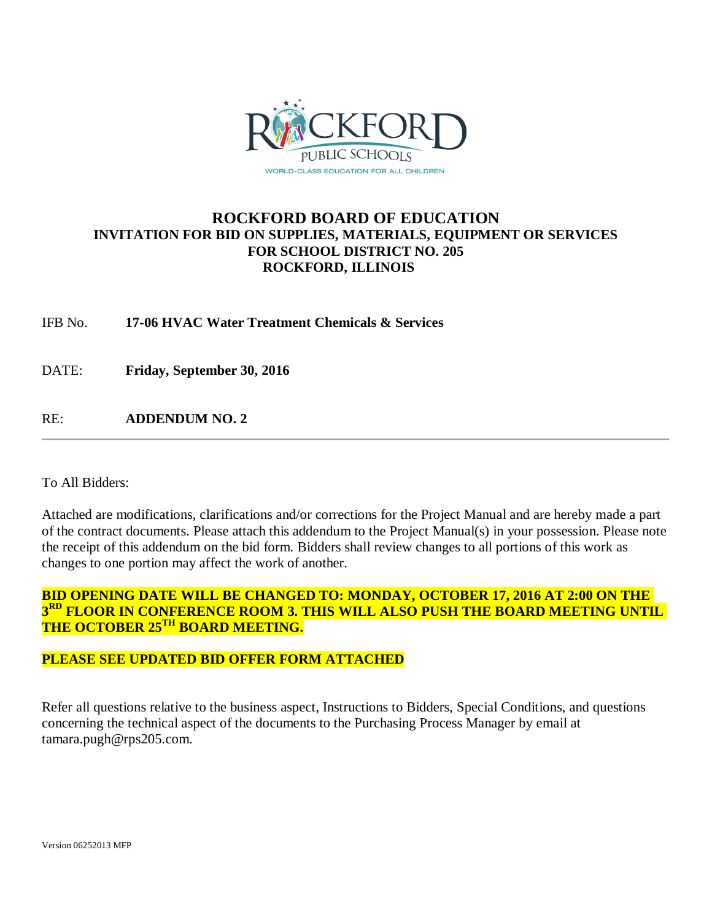

### **ROCKFORD BOARD OF EDUCATION INVITATION FOR BID ON SUPPLIES, MATERIALS, EQUIPMENT OR SERVICES FOR SCHOOL DISTRICT NO. 205 ROCKFORD, ILLINOIS**

IFB No. **17-06 HVAC Water Treatment Chemicals & Services**

DATE: **Friday, September 30, 2016**

RE: **ADDENDUM NO. 2**

To All Bidders:

Attached are modifications, clarifications and/or corrections for the Project Manual and are hereby made a part of the contract documents. Please attach this addendum to the Project Manual(s) in your possession. Please note the receipt of this addendum on the bid form. Bidders shall review changes to all portions of this work as changes to one portion may affect the work of another.

**BID OPENING DATE WILL BE CHANGED TO: MONDAY, OCTOBER 17, 2016 AT 2:00 ON THE 3RD FLOOR IN CONFERENCE ROOM 3. THIS WILL ALSO PUSH THE BOARD MEETING UNTIL THE OCTOBER 25TH BOARD MEETING.**

### **PLEASE SEE UPDATED BID OFFER FORM ATTACHED**

Refer all questions relative to the business aspect, Instructions to Bidders, Special Conditions, and questions concerning the technical aspect of the documents to the Purchasing Process Manager by email at tamara.pugh@rps205.com.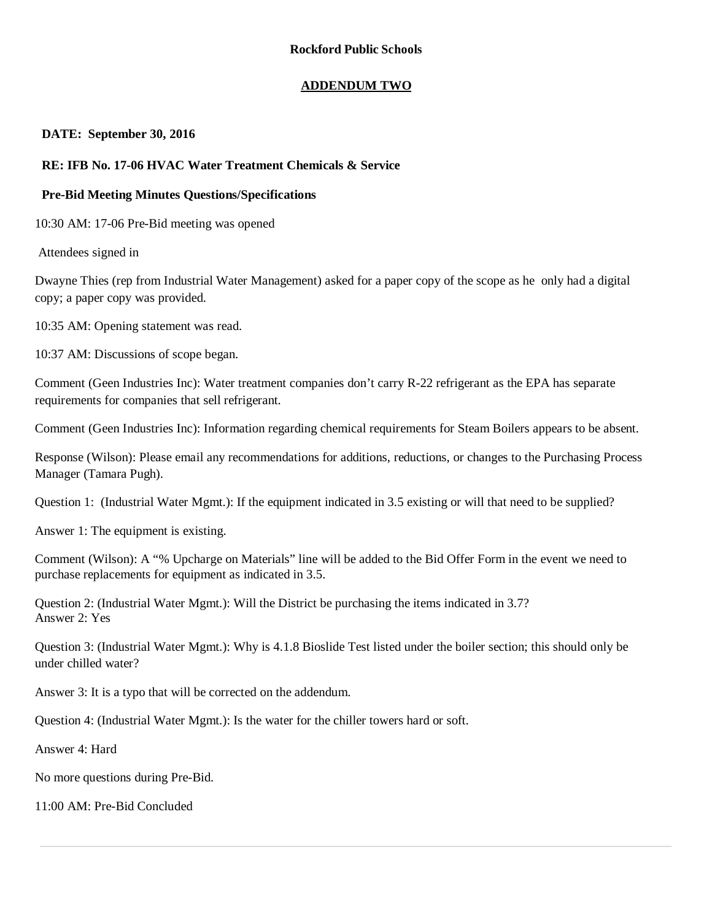### **ADDENDUM TWO**

### **DATE: September 30, 2016**

### **RE: IFB No. 17-06 HVAC Water Treatment Chemicals & Service**

### **Pre-Bid Meeting Minutes Questions/Specifications**

10:30 AM: 17-06 Pre-Bid meeting was opened

Attendees signed in

Dwayne Thies (rep from Industrial Water Management) asked for a paper copy of the scope as he only had a digital copy; a paper copy was provided.

10:35 AM: Opening statement was read.

10:37 AM: Discussions of scope began.

Comment (Geen Industries Inc): Water treatment companies don't carry R-22 refrigerant as the EPA has separate requirements for companies that sell refrigerant.

Comment (Geen Industries Inc): Information regarding chemical requirements for Steam Boilers appears to be absent.

Response (Wilson): Please email any recommendations for additions, reductions, or changes to the Purchasing Process Manager (Tamara Pugh).

Question 1: (Industrial Water Mgmt.): If the equipment indicated in 3.5 existing or will that need to be supplied?

Answer 1: The equipment is existing.

Comment (Wilson): A "% Upcharge on Materials" line will be added to the Bid Offer Form in the event we need to purchase replacements for equipment as indicated in 3.5.

Question 2: (Industrial Water Mgmt.): Will the District be purchasing the items indicated in 3.7? Answer 2: Yes

Question 3: (Industrial Water Mgmt.): Why is 4.1.8 Bioslide Test listed under the boiler section; this should only be under chilled water?

Answer 3: It is a typo that will be corrected on the addendum.

Question 4: (Industrial Water Mgmt.): Is the water for the chiller towers hard or soft.

Answer 4: Hard

No more questions during Pre-Bid.

11:00 AM: Pre-Bid Concluded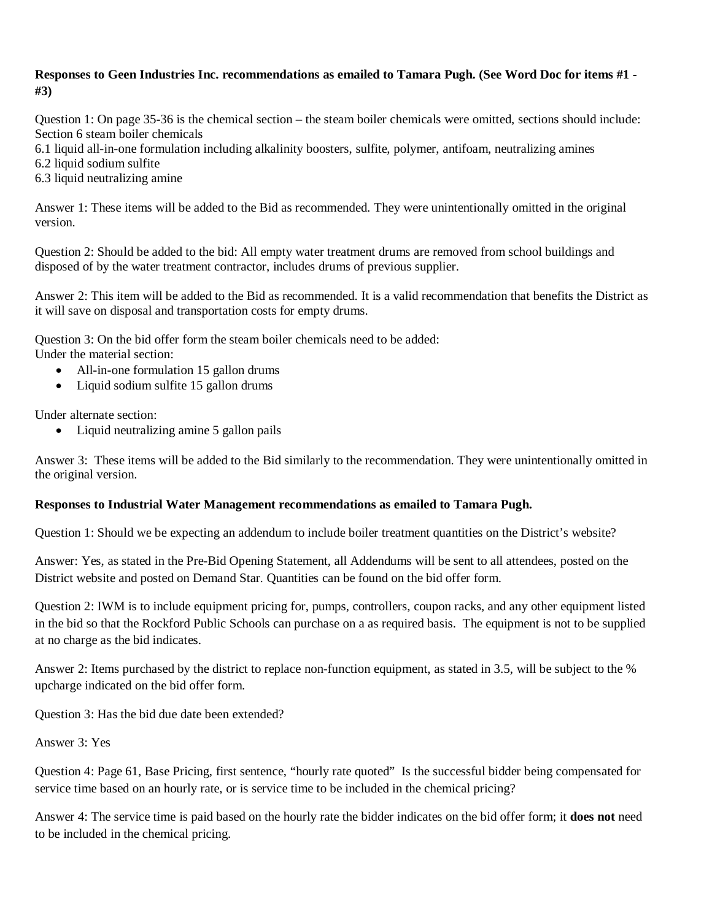### **Responses to Geen Industries Inc. recommendations as emailed to Tamara Pugh. (See Word Doc for items #1 - #3)**

Question 1: On page 35-36 is the chemical section – the steam boiler chemicals were omitted, sections should include: Section 6 steam boiler chemicals

- 6.1 liquid all-in-one formulation including alkalinity boosters, sulfite, polymer, antifoam, neutralizing amines
- 6.2 liquid sodium sulfite
- 6.3 liquid neutralizing amine

Answer 1: These items will be added to the Bid as recommended. They were unintentionally omitted in the original version.

Question 2: Should be added to the bid: All empty water treatment drums are removed from school buildings and disposed of by the water treatment contractor, includes drums of previous supplier.

Answer 2: This item will be added to the Bid as recommended. It is a valid recommendation that benefits the District as it will save on disposal and transportation costs for empty drums.

Question 3: On the bid offer form the steam boiler chemicals need to be added:

Under the material section:

- All-in-one formulation 15 gallon drums
- Liquid sodium sulfite 15 gallon drums

Under alternate section:

• Liquid neutralizing amine 5 gallon pails

Answer 3: These items will be added to the Bid similarly to the recommendation. They were unintentionally omitted in the original version.

### **Responses to Industrial Water Management recommendations as emailed to Tamara Pugh.**

Question 1: Should we be expecting an addendum to include boiler treatment quantities on the District's website?

Answer: Yes, as stated in the Pre-Bid Opening Statement, all Addendums will be sent to all attendees, posted on the District website and posted on Demand Star. Quantities can be found on the bid offer form.

Question 2: IWM is to include equipment pricing for, pumps, controllers, coupon racks, and any other equipment listed in the bid so that the Rockford Public Schools can purchase on a as required basis. The equipment is not to be supplied at no charge as the bid indicates.

Answer 2: Items purchased by the district to replace non-function equipment, as stated in 3.5, will be subject to the % upcharge indicated on the bid offer form.

Question 3: Has the bid due date been extended?

Answer 3: Yes

Question 4: Page 61, Base Pricing, first sentence, "hourly rate quoted" Is the successful bidder being compensated for service time based on an hourly rate, or is service time to be included in the chemical pricing?

Answer 4: The service time is paid based on the hourly rate the bidder indicates on the bid offer form; it **does not** need to be included in the chemical pricing.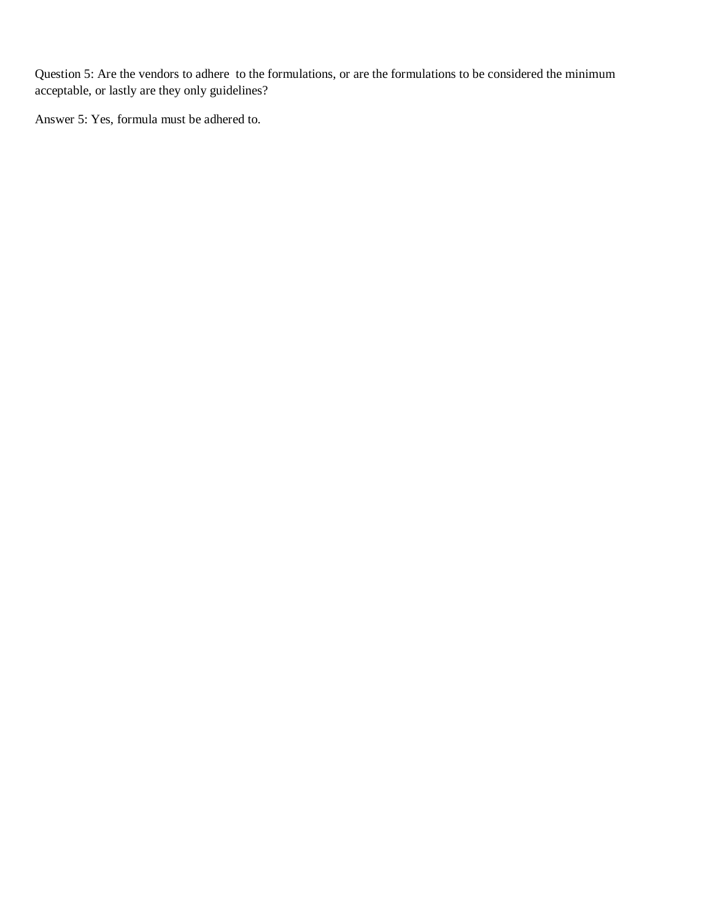Question 5: Are the vendors to adhere to the formulations, or are the formulations to be considered the minimum acceptable, or lastly are they only guidelines?

Answer 5: Yes, formula must be adhered to.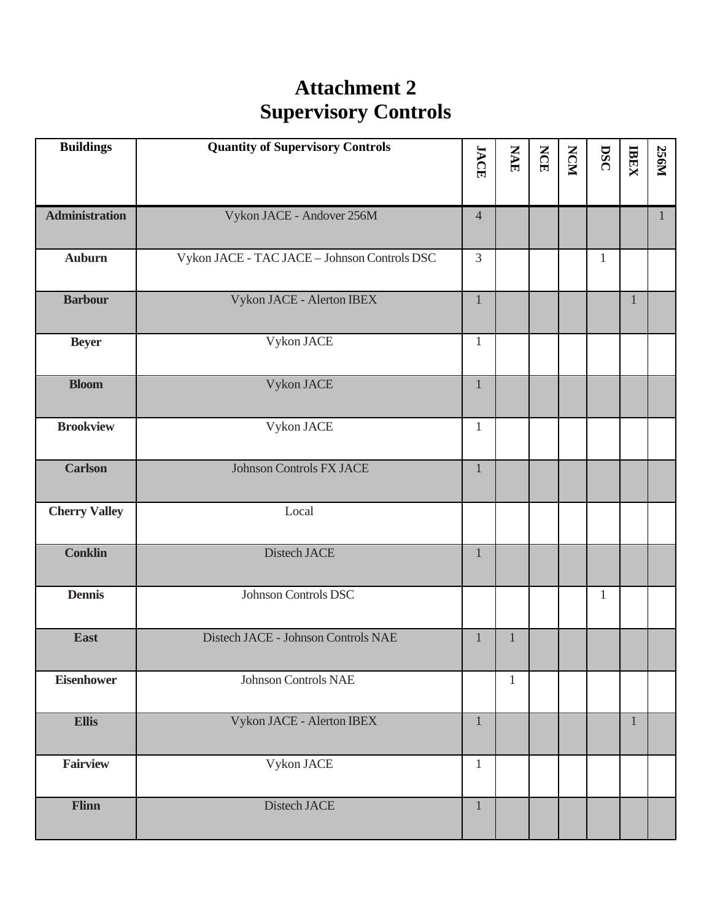# **Attachment 2 Supervisory Controls**

| <b>Buildings</b>      | <b>Quantity of Supervisory Controls</b>      | <b>JACE</b>    | <b>NAE</b>   | <b>NCE</b> | NCM | DSC          | <b>IBEX</b>  | <b>256M</b>  |
|-----------------------|----------------------------------------------|----------------|--------------|------------|-----|--------------|--------------|--------------|
|                       |                                              |                |              |            |     |              |              |              |
| <b>Administration</b> | Vykon JACE - Andover 256M                    | $\overline{4}$ |              |            |     |              |              | $\mathbf{1}$ |
| <b>Auburn</b>         | Vykon JACE - TAC JACE - Johnson Controls DSC | $\overline{3}$ |              |            |     | $\mathbf{1}$ |              |              |
| <b>Barbour</b>        | Vykon JACE - Alerton IBEX                    | $\mathbf{1}$   |              |            |     |              | $\mathbf{1}$ |              |
| <b>Beyer</b>          | Vykon JACE                                   | $\mathbf{1}$   |              |            |     |              |              |              |
| <b>Bloom</b>          | Vykon JACE                                   | $\mathbf{1}$   |              |            |     |              |              |              |
| <b>Brookview</b>      | Vykon JACE                                   | $\mathbf{1}$   |              |            |     |              |              |              |
| <b>Carlson</b>        | <b>Johnson Controls FX JACE</b>              | $\mathbf{1}$   |              |            |     |              |              |              |
| <b>Cherry Valley</b>  | Local                                        |                |              |            |     |              |              |              |
| <b>Conklin</b>        | Distech JACE                                 | $\mathbf{1}$   |              |            |     |              |              |              |
| <b>Dennis</b>         | Johnson Controls DSC                         |                |              |            |     | $\mathbf{1}$ |              |              |
| <b>East</b>           | Distech JACE - Johnson Controls NAE          | $\mathbf{1}$   | $\mathbf{1}$ |            |     |              |              |              |
| <b>Eisenhower</b>     | <b>Johnson Controls NAE</b>                  |                | $\mathbf{1}$ |            |     |              |              |              |
| <b>Ellis</b>          | Vykon JACE - Alerton IBEX                    | $\mathbf{1}$   |              |            |     |              | $\mathbf{1}$ |              |
| <b>Fairview</b>       | Vykon JACE                                   | $\mathbf{1}$   |              |            |     |              |              |              |
| Flinn                 | Distech JACE                                 | $\mathbf{1}$   |              |            |     |              |              |              |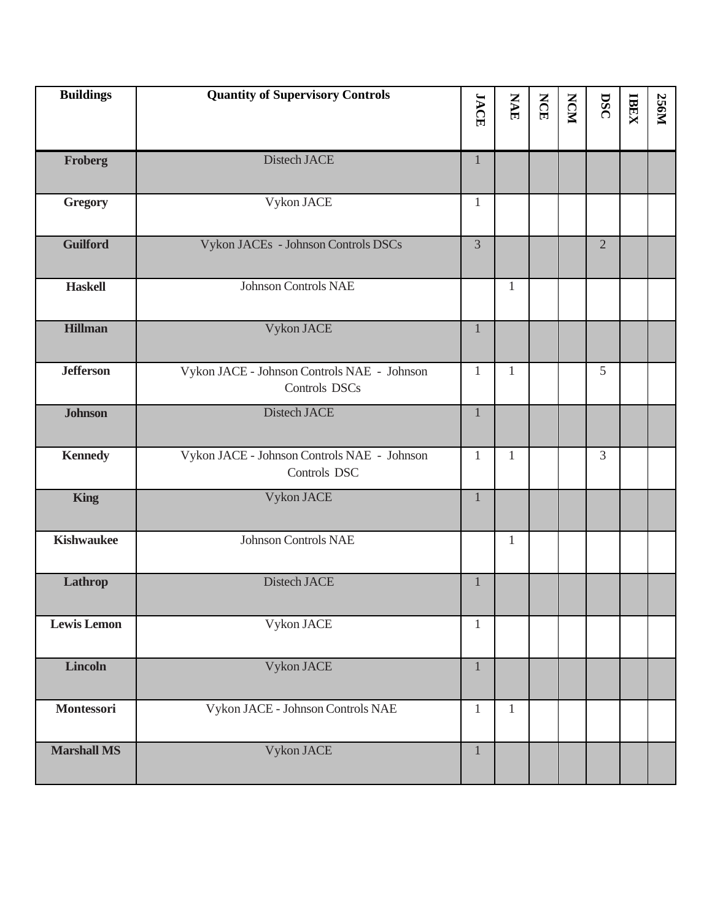| <b>Buildings</b>   | <b>Quantity of Supervisory Controls</b>                      | <b>JACE</b>    | <b>NAE</b>   | <b>NCE</b> | <b>NCM</b> | DSC            | <b>IBEX</b> | <b>256M</b> |
|--------------------|--------------------------------------------------------------|----------------|--------------|------------|------------|----------------|-------------|-------------|
| Froberg            | Distech JACE                                                 | $\mathbf{1}$   |              |            |            |                |             |             |
| <b>Gregory</b>     | Vykon JACE                                                   | $\mathbf{1}$   |              |            |            |                |             |             |
| <b>Guilford</b>    | Vykon JACEs - Johnson Controls DSCs                          | $\overline{3}$ |              |            |            | $\overline{2}$ |             |             |
| <b>Haskell</b>     | <b>Johnson Controls NAE</b>                                  |                | 1            |            |            |                |             |             |
| <b>Hillman</b>     | Vykon JACE                                                   | $\mathbf{1}$   |              |            |            |                |             |             |
| <b>Jefferson</b>   | Vykon JACE - Johnson Controls NAE - Johnson<br>Controls DSCs | 1              | 1            |            |            | 5              |             |             |
| <b>Johnson</b>     | Distech JACE                                                 | $\mathbf{1}$   |              |            |            |                |             |             |
| <b>Kennedy</b>     | Vykon JACE - Johnson Controls NAE - Johnson<br>Controls DSC  | $\mathbf{1}$   | $\mathbf{1}$ |            |            | 3              |             |             |
| <b>King</b>        | Vykon JACE                                                   | $\mathbf{1}$   |              |            |            |                |             |             |
| <b>Kishwaukee</b>  | <b>Johnson Controls NAE</b>                                  |                | 1            |            |            |                |             |             |
| Lathrop            | Distech JACE                                                 | $\mathbf{1}$   |              |            |            |                |             |             |
| <b>Lewis Lemon</b> | Vykon JACE                                                   | $\mathbf{1}$   |              |            |            |                |             |             |
| <b>Lincoln</b>     | Vykon JACE                                                   | $\mathbf{1}$   |              |            |            |                |             |             |
| Montessori         | Vykon JACE - Johnson Controls NAE                            | $\mathbf{1}$   | $\mathbf{1}$ |            |            |                |             |             |
| <b>Marshall MS</b> | Vykon JACE                                                   | $\mathbf{1}$   |              |            |            |                |             |             |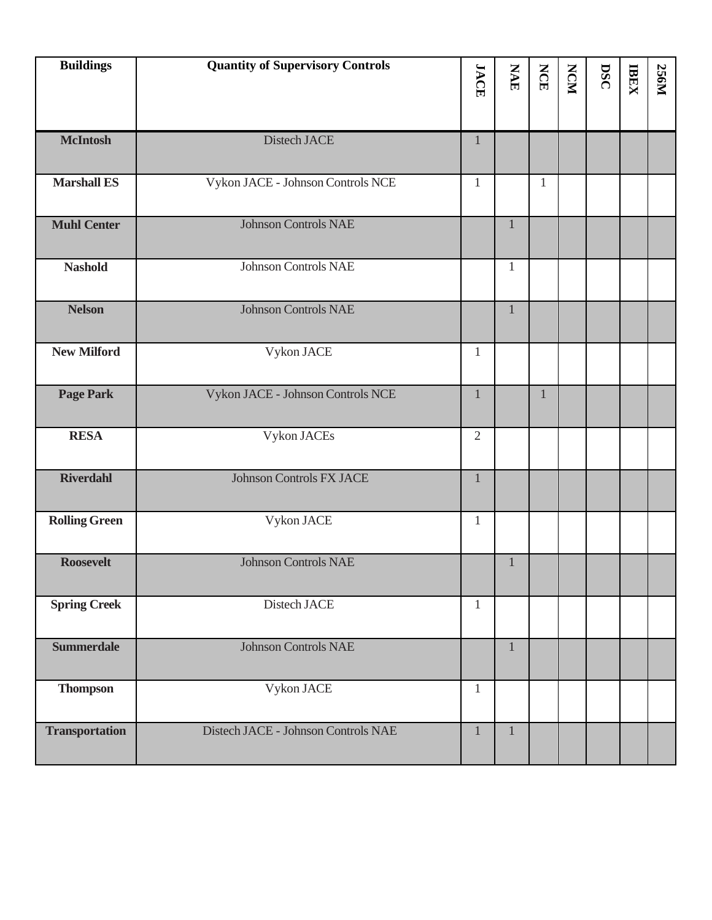| <b>Buildings</b>      | <b>Quantity of Supervisory Controls</b> | <b>JACE</b>    | <b>NAE</b>   | <b>NCE</b>   | <b>NCM</b> | DSC | <b>IBEX</b> | <b>256M</b> |
|-----------------------|-----------------------------------------|----------------|--------------|--------------|------------|-----|-------------|-------------|
|                       |                                         |                |              |              |            |     |             |             |
| <b>McIntosh</b>       | Distech JACE                            | 1              |              |              |            |     |             |             |
| <b>Marshall ES</b>    | Vykon JACE - Johnson Controls NCE       | $\mathbf{1}$   |              | $\mathbf{1}$ |            |     |             |             |
| <b>Muhl Center</b>    | <b>Johnson Controls NAE</b>             |                | 1            |              |            |     |             |             |
| <b>Nashold</b>        | <b>Johnson Controls NAE</b>             |                | 1            |              |            |     |             |             |
| <b>Nelson</b>         | <b>Johnson Controls NAE</b>             |                | $\mathbf{1}$ |              |            |     |             |             |
| <b>New Milford</b>    | Vykon JACE                              | 1              |              |              |            |     |             |             |
| <b>Page Park</b>      | Vykon JACE - Johnson Controls NCE       | $\mathbf{1}$   |              |              |            |     |             |             |
| <b>RESA</b>           | Vykon JACEs                             | $\overline{2}$ |              |              |            |     |             |             |
| <b>Riverdahl</b>      | <b>Johnson Controls FX JACE</b>         | 1              |              |              |            |     |             |             |
| <b>Rolling Green</b>  | Vykon JACE                              | 1              |              |              |            |     |             |             |
| <b>Roosevelt</b>      | <b>Johnson Controls NAE</b>             |                | 1            |              |            |     |             |             |
| <b>Spring Creek</b>   | Distech JACE                            | $\mathbf{1}$   |              |              |            |     |             |             |
| <b>Summerdale</b>     | <b>Johnson Controls NAE</b>             |                | $\mathbf{1}$ |              |            |     |             |             |
| <b>Thompson</b>       | Vykon JACE                              | 1              |              |              |            |     |             |             |
| <b>Transportation</b> | Distech JACE - Johnson Controls NAE     | $\mathbf{1}$   | 1            |              |            |     |             |             |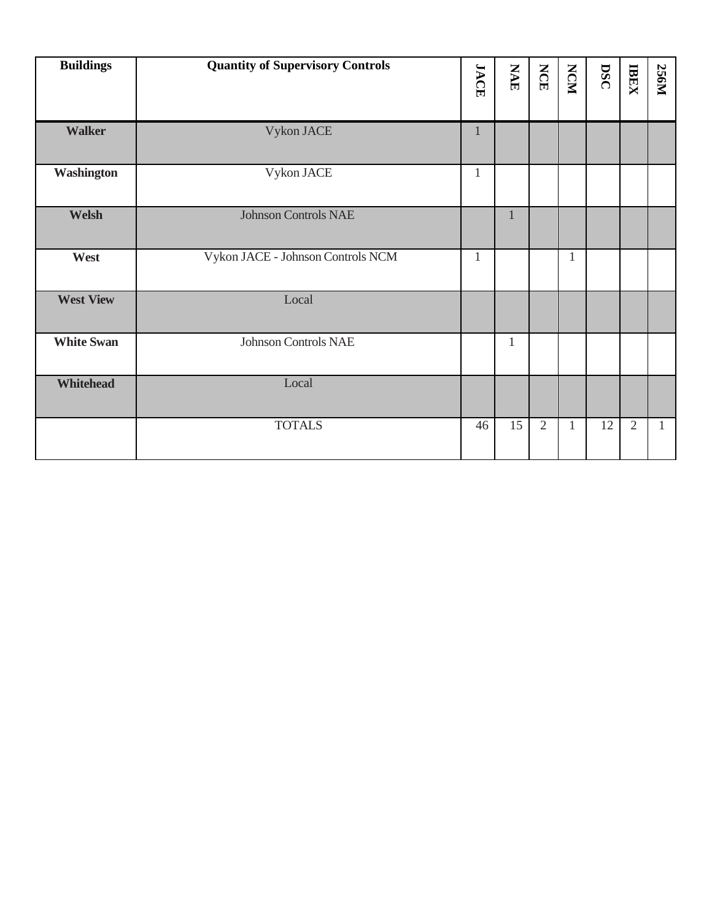| <b>Buildings</b>  | <b>Quantity of Supervisory Controls</b> | <b>JACE</b>  | <b>NAE</b>   | <b>NCE</b>     | <b>NCM</b>   | DSC | <b>TREX</b>    | <b>256M</b> |
|-------------------|-----------------------------------------|--------------|--------------|----------------|--------------|-----|----------------|-------------|
|                   |                                         |              |              |                |              |     |                |             |
| <b>Walker</b>     | Vykon JACE                              | 1            |              |                |              |     |                |             |
| <b>Washington</b> | Vykon JACE                              | 1            |              |                |              |     |                |             |
| Welsh             | <b>Johnson Controls NAE</b>             |              | 1            |                |              |     |                |             |
| West              | Vykon JACE - Johnson Controls NCM       | $\mathbf{1}$ |              |                | $\mathbf{1}$ |     |                |             |
| <b>West View</b>  | Local                                   |              |              |                |              |     |                |             |
| <b>White Swan</b> | <b>Johnson Controls NAE</b>             |              | $\mathbf{1}$ |                |              |     |                |             |
| Whitehead         | Local                                   |              |              |                |              |     |                |             |
|                   | <b>TOTALS</b>                           | 46           | 15           | $\overline{2}$ | 1            | 12  | $\overline{2}$ | 1           |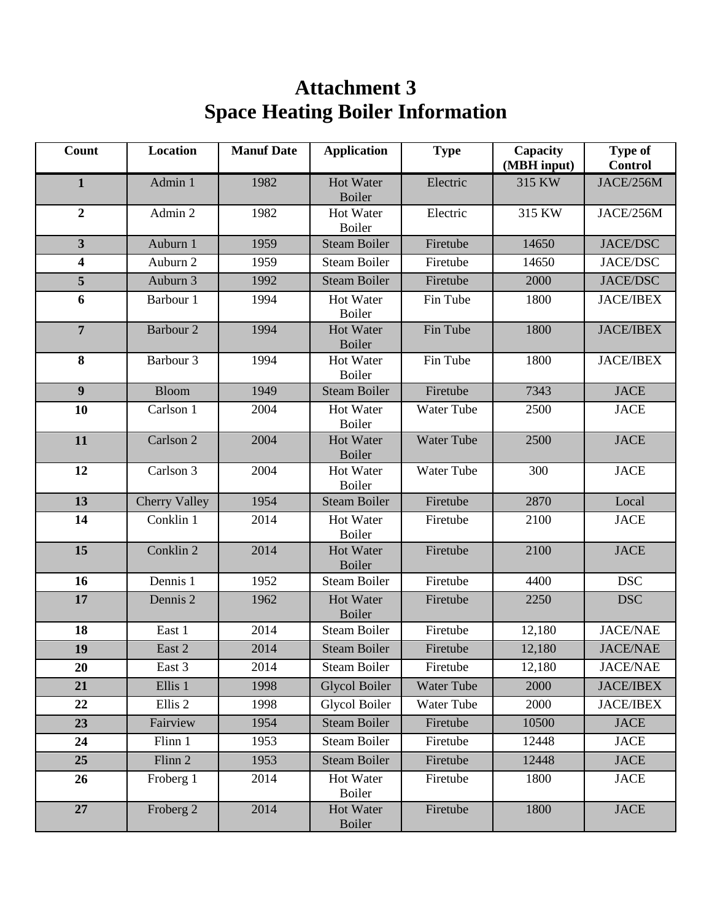# **Attachment 3 Space Heating Boiler Information**

| Count                   | <b>Location</b>      | <b>Manuf Date</b> | <b>Application</b>                | <b>Type</b>       | Capacity<br>(MBH input) | <b>Type of</b><br><b>Control</b> |
|-------------------------|----------------------|-------------------|-----------------------------------|-------------------|-------------------------|----------------------------------|
| $\mathbf{1}$            | Admin 1              | 1982              | <b>Hot Water</b><br><b>Boiler</b> | Electric          | 315 KW                  | JACE/256M                        |
| $\boldsymbol{2}$        | Admin 2              | 1982              | <b>Hot Water</b><br><b>Boiler</b> | Electric          | 315 KW                  | JACE/256M                        |
| $\overline{\mathbf{3}}$ | Auburn 1             | 1959              | <b>Steam Boiler</b>               | Firetube          | 14650                   | <b>JACE/DSC</b>                  |
| 4                       | Auburn 2             | 1959              | <b>Steam Boiler</b>               | Firetube          | 14650                   | <b>JACE/DSC</b>                  |
| 5                       | Auburn 3             | 1992              | <b>Steam Boiler</b>               | Firetube          | 2000                    | <b>JACE/DSC</b>                  |
| 6                       | Barbour 1            | 1994              | Hot Water<br><b>Boiler</b>        | Fin Tube          | 1800                    | <b>JACE/IBEX</b>                 |
| $\overline{7}$          | Barbour <sub>2</sub> | 1994              | <b>Hot Water</b><br><b>Boiler</b> | Fin Tube          | 1800                    | <b>JACE/IBEX</b>                 |
| 8                       | Barbour <sub>3</sub> | 1994              | Hot Water<br>Boiler               | Fin Tube          | 1800                    | <b>JACE/IBEX</b>                 |
| $\boldsymbol{9}$        | <b>Bloom</b>         | 1949              | <b>Steam Boiler</b>               | Firetube          | 7343                    | <b>JACE</b>                      |
| 10                      | Carlson 1            | 2004              | Hot Water<br><b>Boiler</b>        | Water Tube        | 2500                    | <b>JACE</b>                      |
| 11                      | Carlson <sub>2</sub> | 2004              | <b>Hot Water</b><br><b>Boiler</b> | <b>Water Tube</b> | 2500                    | <b>JACE</b>                      |
| 12                      | Carlson 3            | 2004              | <b>Hot Water</b><br><b>Boiler</b> | <b>Water Tube</b> | 300                     | <b>JACE</b>                      |
| 13                      | <b>Cherry Valley</b> | 1954              | <b>Steam Boiler</b>               | Firetube          | 2870                    | Local                            |
| 14                      | Conklin 1            | 2014              | Hot Water<br><b>Boiler</b>        | Firetube          | 2100                    | <b>JACE</b>                      |
| 15                      | Conklin <sub>2</sub> | 2014              | <b>Hot Water</b><br><b>Boiler</b> | Firetube          | 2100                    | <b>JACE</b>                      |
| 16                      | Dennis 1             | 1952              | <b>Steam Boiler</b>               | Firetube          | 4400                    | <b>DSC</b>                       |
| 17                      | Dennis 2             | 1962              | <b>Hot Water</b><br><b>Boiler</b> | Firetube          | 2250                    | <b>DSC</b>                       |
| 18                      | East 1               | 2014              | <b>Steam Boiler</b>               | Firetube          | 12,180                  | <b>JACE/NAE</b>                  |
| 19                      | East 2               | 2014              | <b>Steam Boiler</b>               | Firetube          | 12,180                  | <b>JACE/NAE</b>                  |
| 20                      | East 3               | 2014              | Steam Boiler                      | Firetube          | 12,180                  | <b>JACE/NAE</b>                  |
| 21                      | Ellis 1              | 1998              | <b>Glycol Boiler</b>              | Water Tube        | 2000                    | <b>JACE/IBEX</b>                 |
| 22                      | Ellis <sub>2</sub>   | 1998              | <b>Glycol Boiler</b>              | Water Tube        | 2000                    | <b>JACE/IBEX</b>                 |
| 23                      | Fairview             | 1954              | <b>Steam Boiler</b>               | Firetube          | 10500                   | <b>JACE</b>                      |
| 24                      | Flinn 1              | 1953              | <b>Steam Boiler</b>               | Firetube          | 12448                   | <b>JACE</b>                      |
| 25                      | Flinn 2              | 1953              | <b>Steam Boiler</b>               | Firetube          | 12448                   | <b>JACE</b>                      |
| 26                      | Froberg 1            | 2014              | Hot Water<br>Boiler               | Firetube          | 1800                    | <b>JACE</b>                      |
| 27                      | Froberg 2            | 2014              | Hot Water<br><b>Boiler</b>        | Firetube          | 1800                    | <b>JACE</b>                      |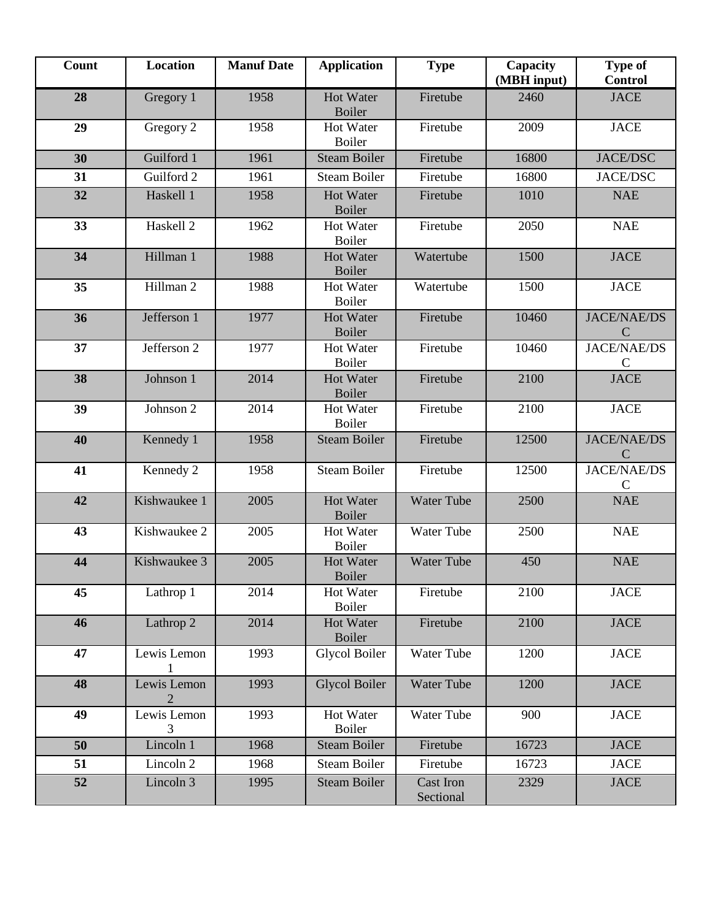| Count | <b>Location</b>      | <b>Manuf Date</b> | <b>Application</b>                | <b>Type</b>                   | Capacity<br>(MBH input) | <b>Type of</b><br><b>Control</b>    |
|-------|----------------------|-------------------|-----------------------------------|-------------------------------|-------------------------|-------------------------------------|
| 28    | Gregory 1            | 1958              | <b>Hot Water</b><br><b>Boiler</b> | Firetube                      | 2460                    | <b>JACE</b>                         |
| 29    | Gregory 2            | 1958              | Hot Water<br>Boiler               | Firetube                      | 2009                    | <b>JACE</b>                         |
| 30    | Guilford 1           | 1961              | <b>Steam Boiler</b>               | Firetube                      | 16800                   | <b>JACE/DSC</b>                     |
| 31    | Guilford 2           | 1961              | <b>Steam Boiler</b>               | Firetube                      | 16800                   | <b>JACE/DSC</b>                     |
| 32    | Haskell 1            | 1958              | <b>Hot Water</b><br><b>Boiler</b> | Firetube                      | 1010                    | <b>NAE</b>                          |
| 33    | Haskell <sub>2</sub> | 1962              | Hot Water<br>Boiler               | Firetube                      | 2050                    | <b>NAE</b>                          |
| 34    | Hillman 1            | 1988              | Hot Water<br><b>Boiler</b>        | Watertube                     | 1500                    | <b>JACE</b>                         |
| 35    | Hillman 2            | 1988              | Hot Water<br>Boiler               | Watertube                     | 1500                    | <b>JACE</b>                         |
| 36    | Jefferson 1          | 1977              | <b>Hot Water</b><br><b>Boiler</b> | Firetube                      | 10460                   | <b>JACE/NAE/DS</b><br>C             |
| 37    | Jefferson 2          | 1977              | Hot Water<br>Boiler               | Firetube                      | 10460                   | <b>JACE/NAE/DS</b><br>C             |
| 38    | Johnson 1            | 2014              | Hot Water<br>Boiler               | Firetube                      | 2100                    | <b>JACE</b>                         |
| 39    | Johnson 2            | 2014              | Hot Water<br>Boiler               | Firetube                      | 2100                    | <b>JACE</b>                         |
| 40    | Kennedy 1            | 1958              | <b>Steam Boiler</b>               | Firetube                      | 12500                   | <b>JACE/NAE/DS</b><br>$\mathcal{C}$ |
| 41    | Kennedy 2            | 1958              | <b>Steam Boiler</b>               | Firetube                      | 12500                   | <b>JACE/NAE/DS</b><br>$\mathbf C$   |
| 42    | Kishwaukee 1         | 2005              | Hot Water<br><b>Boiler</b>        | <b>Water Tube</b>             | 2500                    | <b>NAE</b>                          |
| 43    | Kishwaukee 2         | 2005              | Hot Water<br>Boiler               | Water Tube                    | 2500                    | <b>NAE</b>                          |
| 44    | Kishwaukee 3         | 2005              | Hot Water<br>Boiler               | <b>Water Tube</b>             | 450                     | <b>NAE</b>                          |
| 45    | Lathrop 1            | 2014              | Hot Water<br>Boiler               | Firetube                      | 2100                    | <b>JACE</b>                         |
| 46    | Lathrop 2            | 2014              | Hot Water<br><b>Boiler</b>        | Firetube                      | 2100                    | <b>JACE</b>                         |
| 47    | Lewis Lemon          | 1993              | <b>Glycol Boiler</b>              | Water Tube                    | 1200                    | <b>JACE</b>                         |
| 48    | Lewis Lemon<br>2     | 1993              | <b>Glycol Boiler</b>              | Water Tube                    | 1200                    | <b>JACE</b>                         |
| 49    | Lewis Lemon<br>3     | 1993              | Hot Water<br>Boiler               | Water Tube                    | 900                     | <b>JACE</b>                         |
| 50    | Lincoln 1            | 1968              | <b>Steam Boiler</b>               | Firetube                      | 16723                   | <b>JACE</b>                         |
| 51    | Lincoln 2            | 1968              | <b>Steam Boiler</b>               | Firetube                      | 16723                   | <b>JACE</b>                         |
| 52    | Lincoln 3            | 1995              | <b>Steam Boiler</b>               | <b>Cast Iron</b><br>Sectional | 2329                    | <b>JACE</b>                         |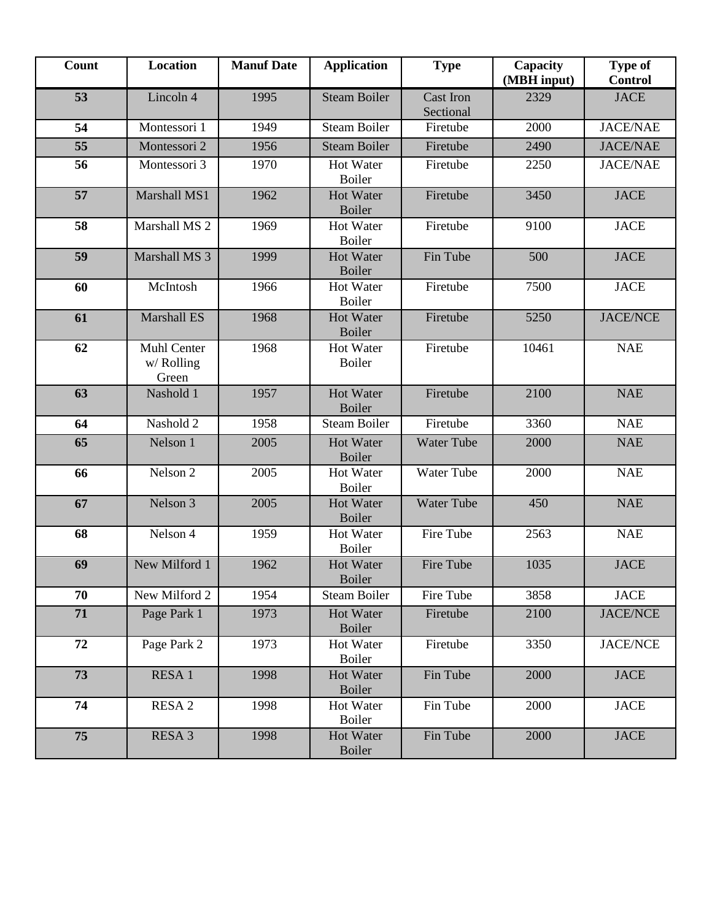| <b>Count</b> | Location                           | <b>Manuf Date</b> | <b>Application</b>                | <b>Type</b>                   | Capacity<br>(MBH input) | <b>Type of</b><br><b>Control</b> |
|--------------|------------------------------------|-------------------|-----------------------------------|-------------------------------|-------------------------|----------------------------------|
| 53           | Lincoln 4                          | 1995              | <b>Steam Boiler</b>               | <b>Cast Iron</b><br>Sectional | 2329                    | <b>JACE</b>                      |
| 54           | Montessori 1                       | 1949              | <b>Steam Boiler</b>               | Firetube                      | 2000                    | <b>JACE/NAE</b>                  |
| 55           | Montessori 2                       | 1956              | <b>Steam Boiler</b>               | Firetube                      | 2490                    | <b>JACE/NAE</b>                  |
| 56           | Montessori 3                       | 1970              | <b>Hot Water</b><br><b>Boiler</b> | Firetube                      | 2250                    | <b>JACE/NAE</b>                  |
| 57           | Marshall MS1                       | 1962              | <b>Hot Water</b><br>Boiler        | Firetube                      | 3450                    | <b>JACE</b>                      |
| 58           | Marshall MS 2                      | 1969              | Hot Water<br>Boiler               | Firetube                      | 9100                    | <b>JACE</b>                      |
| 59           | Marshall MS 3                      | 1999              | <b>Hot Water</b><br><b>Boiler</b> | Fin Tube                      | 500                     | <b>JACE</b>                      |
| 60           | McIntosh                           | 1966              | <b>Hot Water</b><br><b>Boiler</b> | Firetube                      | 7500                    | <b>JACE</b>                      |
| 61           | <b>Marshall ES</b>                 | 1968              | <b>Hot Water</b><br><b>Boiler</b> | Firetube                      | 5250                    | <b>JACE/NCE</b>                  |
| 62           | Muhl Center<br>w/ Rolling<br>Green | 1968              | <b>Hot Water</b><br><b>Boiler</b> | Firetube                      | 10461                   | <b>NAE</b>                       |
| 63           | Nashold 1                          | 1957              | <b>Hot Water</b><br><b>Boiler</b> | Firetube                      | 2100                    | <b>NAE</b>                       |
| 64           | Nashold 2                          | 1958              | <b>Steam Boiler</b>               | Firetube                      | 3360                    | <b>NAE</b>                       |
| 65           | Nelson 1                           | 2005              | <b>Hot Water</b><br><b>Boiler</b> | <b>Water Tube</b>             | 2000                    | <b>NAE</b>                       |
| 66           | Nelson 2                           | 2005              | <b>Hot Water</b><br><b>Boiler</b> | <b>Water Tube</b>             | 2000                    | <b>NAE</b>                       |
| 67           | Nelson 3                           | 2005              | <b>Hot Water</b><br><b>Boiler</b> | <b>Water Tube</b>             | 450                     | <b>NAE</b>                       |
| 68           | Nelson 4                           | 1959              | <b>Hot Water</b><br>Boiler        | Fire Tube                     | 2563                    | <b>NAE</b>                       |
| 69           | New Milford 1                      | 1962              | <b>Hot Water</b><br><b>Boiler</b> | Fire Tube                     | 1035                    | <b>JACE</b>                      |
| 70           | New Milford 2                      | 1954              | Steam Boiler                      | Fire Tube                     | 3858                    | <b>JACE</b>                      |
| 71           | Page Park 1                        | 1973              | <b>Hot Water</b><br><b>Boiler</b> | Firetube                      | 2100                    | <b>JACE/NCE</b>                  |
| 72           | Page Park 2                        | 1973              | Hot Water<br>Boiler               | Firetube                      | 3350                    | <b>JACE/NCE</b>                  |
| 73           | RESA 1                             | 1998              | <b>Hot Water</b><br><b>Boiler</b> | Fin Tube                      | 2000                    | <b>JACE</b>                      |
| 74           | RESA 2                             | 1998              | Hot Water<br><b>Boiler</b>        | Fin Tube                      | 2000                    | <b>JACE</b>                      |
| 75           | RESA 3                             | 1998              | <b>Hot Water</b><br><b>Boiler</b> | Fin Tube                      | 2000                    | <b>JACE</b>                      |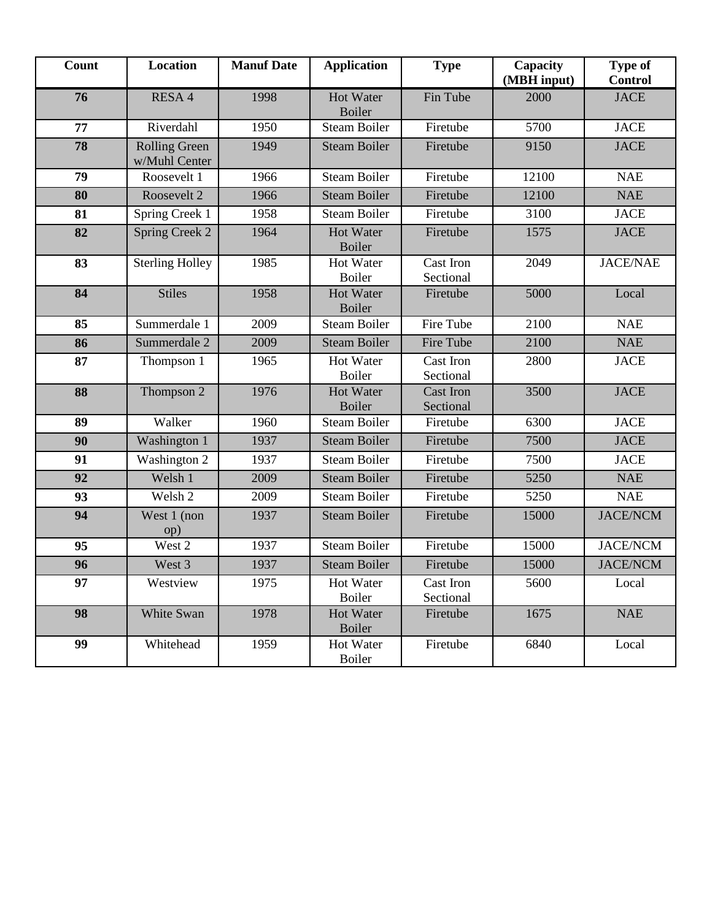| <b>Count</b> | <b>Location</b>                       | <b>Manuf Date</b> | <b>Application</b>                | <b>Type</b>                   | Capacity<br>(MBH input) | Type of<br><b>Control</b> |
|--------------|---------------------------------------|-------------------|-----------------------------------|-------------------------------|-------------------------|---------------------------|
| 76           | RESA 4                                | 1998              | <b>Hot Water</b><br><b>Boiler</b> | Fin Tube                      | 2000                    | <b>JACE</b>               |
| 77           | Riverdahl                             | 1950              | <b>Steam Boiler</b>               | Firetube                      | 5700                    | <b>JACE</b>               |
| 78           | <b>Rolling Green</b><br>w/Muhl Center | 1949              | <b>Steam Boiler</b>               | Firetube                      | 9150                    | <b>JACE</b>               |
| 79           | Roosevelt 1                           | 1966              | <b>Steam Boiler</b>               | Firetube                      | 12100                   | <b>NAE</b>                |
| 80           | Roosevelt 2                           | 1966              | <b>Steam Boiler</b>               | Firetube                      | 12100                   | <b>NAE</b>                |
| 81           | Spring Creek 1                        | 1958              | <b>Steam Boiler</b>               | Firetube                      | 3100                    | <b>JACE</b>               |
| 82           | Spring Creek 2                        | 1964              | <b>Hot Water</b><br><b>Boiler</b> | Firetube                      | 1575                    | <b>JACE</b>               |
| 83           | <b>Sterling Holley</b>                | 1985              | <b>Hot Water</b><br><b>Boiler</b> | Cast Iron<br>Sectional        | 2049                    | <b>JACE/NAE</b>           |
| 84           | <b>Stiles</b>                         | 1958              | <b>Hot Water</b><br>Boiler        | Firetube                      | 5000                    | Local                     |
| 85           | Summerdale 1                          | 2009              | <b>Steam Boiler</b>               | Fire Tube                     | 2100                    | <b>NAE</b>                |
| 86           | Summerdale 2                          | 2009              | <b>Steam Boiler</b>               | Fire Tube                     | 2100                    | <b>NAE</b>                |
| 87           | Thompson 1                            | 1965              | Hot Water<br><b>Boiler</b>        | Cast Iron<br>Sectional        | 2800                    | <b>JACE</b>               |
| 88           | Thompson 2                            | 1976              | <b>Hot Water</b><br><b>Boiler</b> | <b>Cast Iron</b><br>Sectional | 3500                    | <b>JACE</b>               |
| 89           | Walker                                | 1960              | <b>Steam Boiler</b>               | Firetube                      | 6300                    | <b>JACE</b>               |
| 90           | Washington 1                          | 1937              | <b>Steam Boiler</b>               | Firetube                      | 7500                    | <b>JACE</b>               |
| 91           | Washington 2                          | 1937              | <b>Steam Boiler</b>               | Firetube                      | 7500                    | <b>JACE</b>               |
| 92           | Welsh 1                               | 2009              | <b>Steam Boiler</b>               | Firetube                      | 5250                    | <b>NAE</b>                |
| 93           | Welsh 2                               | 2009              | <b>Steam Boiler</b>               | Firetube                      | 5250                    | <b>NAE</b>                |
| 94           | West 1 (non<br>op)                    | 1937              | <b>Steam Boiler</b>               | Firetube                      | 15000                   | <b>JACE/NCM</b>           |
| 95           | West 2                                | 1937              | <b>Steam Boiler</b>               | Firetube                      | 15000                   | <b>JACE/NCM</b>           |
| 96           | West 3                                | 1937              | <b>Steam Boiler</b>               | Firetube                      | 15000                   | <b>JACE/NCM</b>           |
| 97           | Westview                              | 1975              | Hot Water<br>Boiler               | Cast Iron<br>Sectional        | 5600                    | Local                     |
| 98           | White Swan                            | 1978              | <b>Hot Water</b><br>Boiler        | Firetube                      | 1675                    | <b>NAE</b>                |
| 99           | Whitehead                             | 1959              | Hot Water<br>Boiler               | Firetube                      | 6840                    | Local                     |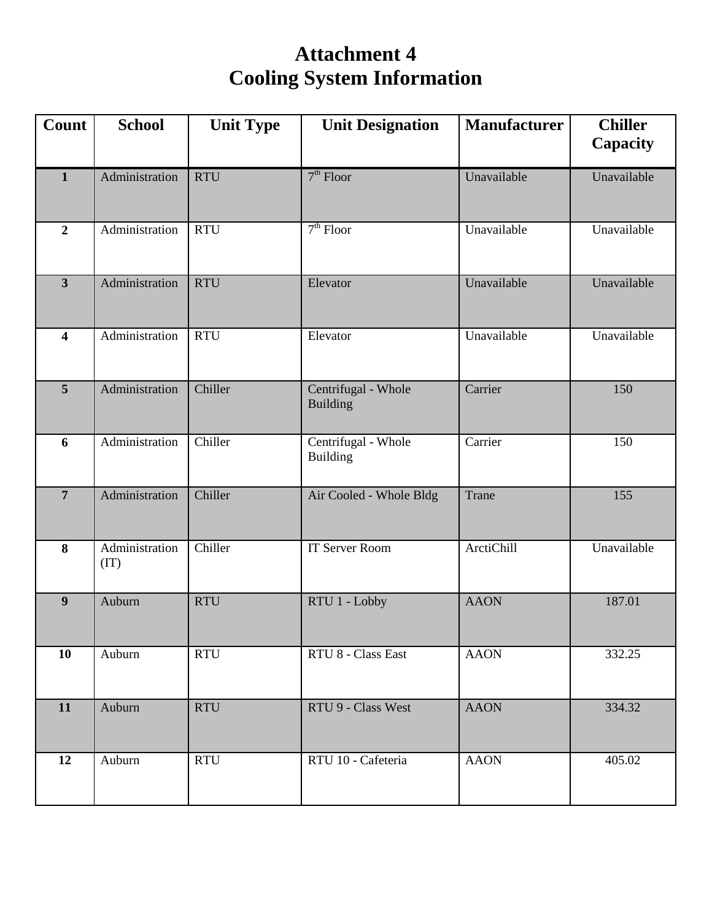# **Attachment 4 Cooling System Information**

| Count                   | <b>School</b>          | <b>Unit Type</b> | <b>Unit Designation</b>                | <b>Manufacturer</b> | <b>Chiller</b><br><b>Capacity</b> |
|-------------------------|------------------------|------------------|----------------------------------------|---------------------|-----------------------------------|
| $\mathbf{1}$            | Administration         | <b>RTU</b>       | $7th$ Floor                            | Unavailable         | Unavailable                       |
| $\overline{2}$          | Administration         | <b>RTU</b>       | $7th$ Floor                            | Unavailable         | Unavailable                       |
| $\overline{\mathbf{3}}$ | Administration         | <b>RTU</b>       | Elevator                               | Unavailable         | Unavailable                       |
| $\overline{\mathbf{4}}$ | Administration         | <b>RTU</b>       | Elevator                               | Unavailable         | Unavailable                       |
| $\overline{5}$          | Administration         | Chiller          | Centrifugal - Whole<br><b>Building</b> | Carrier             | 150                               |
| 6                       | Administration         | Chiller          | Centrifugal - Whole<br><b>Building</b> | Carrier             | 150                               |
| $\overline{7}$          | Administration         | Chiller          | Air Cooled - Whole Bldg                | Trane               | 155                               |
| 8                       | Administration<br>(TT) | Chiller          | <b>IT Server Room</b>                  | ArctiChill          | Unavailable                       |
| $\boldsymbol{9}$        | Auburn                 | <b>RTU</b>       | RTU 1 - Lobby                          | <b>AAON</b>         | 187.01                            |
| 10                      | Auburn                 | <b>RTU</b>       | RTU 8 - Class East                     | <b>AAON</b>         | 332.25                            |
| 11                      | Auburn                 | <b>RTU</b>       | RTU 9 - Class West                     | <b>AAON</b>         | 334.32                            |
| 12                      | Auburn                 | <b>RTU</b>       | RTU 10 - Cafeteria                     | <b>AAON</b>         | 405.02                            |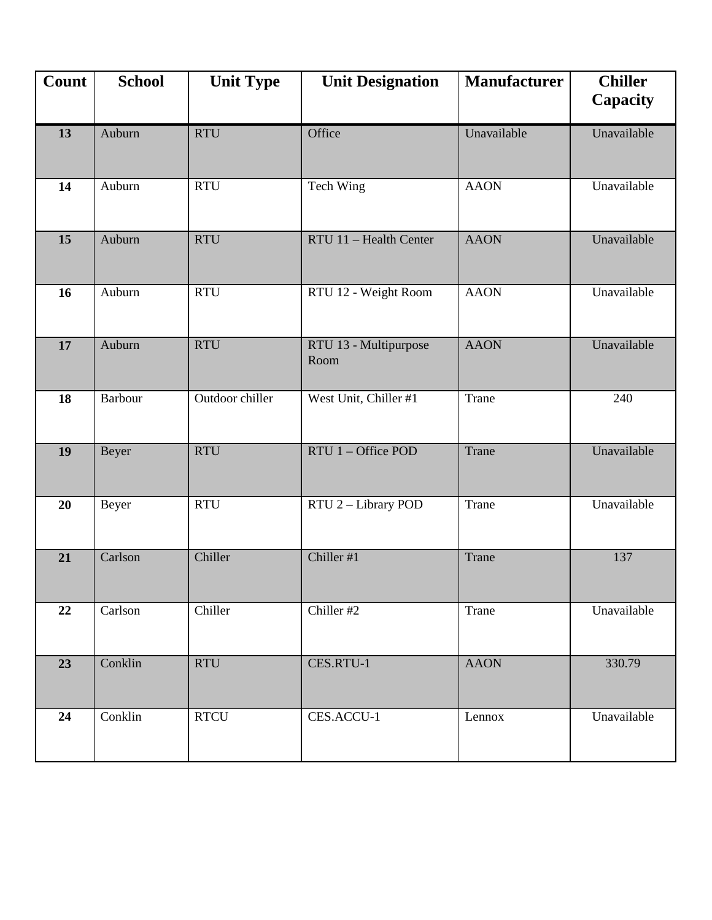| Count | <b>School</b>  | <b>Unit Type</b> | <b>Unit Designation</b>       | <b>Manufacturer</b> | <b>Chiller</b><br>Capacity |
|-------|----------------|------------------|-------------------------------|---------------------|----------------------------|
| 13    | Auburn         | <b>RTU</b>       | Office                        | Unavailable         | Unavailable                |
| 14    | Auburn         | <b>RTU</b>       | Tech Wing                     | <b>AAON</b>         | Unavailable                |
| 15    | Auburn         | <b>RTU</b>       | RTU 11 - Health Center        | <b>AAON</b>         | Unavailable                |
| 16    | Auburn         | <b>RTU</b>       | RTU 12 - Weight Room          | <b>AAON</b>         | Unavailable                |
| 17    | Auburn         | <b>RTU</b>       | RTU 13 - Multipurpose<br>Room | <b>AAON</b>         | Unavailable                |
| 18    | <b>Barbour</b> | Outdoor chiller  | West Unit, Chiller #1         | Trane               | 240                        |
| 19    | Beyer          | <b>RTU</b>       | RTU 1 - Office POD            | Trane               | Unavailable                |
| 20    | Beyer          | <b>RTU</b>       | RTU 2 - Library POD           | Trane               | Unavailable                |
| 21    | Carlson        | Chiller          | Chiller #1                    | Trane               | 137                        |
| 22    | Carlson        | Chiller          | Chiller #2                    | Trane               | Unavailable                |
| 23    | Conklin        | <b>RTU</b>       | CES.RTU-1                     | <b>AAON</b>         | 330.79                     |
| 24    | Conklin        | <b>RTCU</b>      | CES.ACCU-1                    | Lennox              | Unavailable                |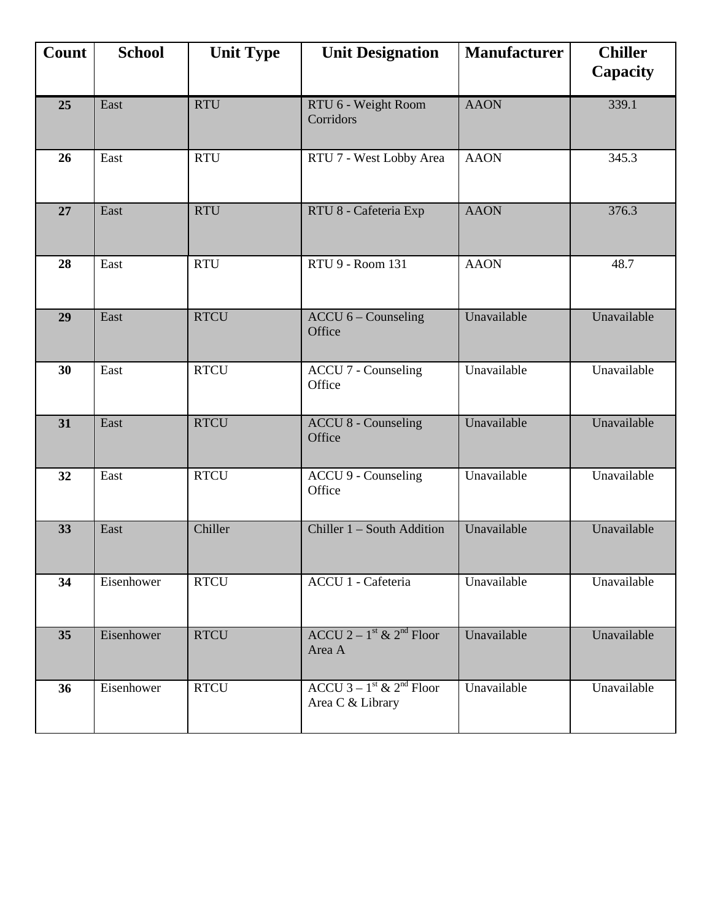| Count | <b>School</b> | <b>Unit Type</b> | <b>Unit Designation</b>                                              | <b>Manufacturer</b> | <b>Chiller</b><br>Capacity |
|-------|---------------|------------------|----------------------------------------------------------------------|---------------------|----------------------------|
| 25    | East          | <b>RTU</b>       | RTU 6 - Weight Room<br>Corridors                                     | <b>AAON</b>         | 339.1                      |
| 26    | East          | <b>RTU</b>       | RTU 7 - West Lobby Area                                              | <b>AAON</b>         | 345.3                      |
| 27    | East          | <b>RTU</b>       | RTU 8 - Cafeteria Exp                                                | <b>AAON</b>         | 376.3                      |
| 28    | East          | <b>RTU</b>       | RTU 9 - Room 131                                                     | <b>AAON</b>         | 48.7                       |
| 29    | East          | <b>RTCU</b>      | ACCU 6 - Counseling<br>Office                                        | Unavailable         | Unavailable                |
| 30    | East          | <b>RTCU</b>      | <b>ACCU 7 - Counseling</b><br>Office                                 | Unavailable         | Unavailable                |
| 31    | East          | <b>RTCU</b>      | <b>ACCU 8 - Counseling</b><br>Office                                 | Unavailable         | Unavailable                |
| 32    | East          | <b>RTCU</b>      | <b>ACCU 9 - Counseling</b><br>Office                                 | Unavailable         | Unavailable                |
| 33    | East          | Chiller          | Chiller 1 - South Addition                                           | Unavailable         | Unavailable                |
| 34    | Eisenhower    | <b>RTCU</b>      | ACCU 1 - Cafeteria                                                   | Unavailable         | Unavailable                |
| 35    | Eisenhower    | <b>RTCU</b>      | ACCU 2 – $1st$ & 2 <sup>nd</sup> Floor<br>Area A                     | Unavailable         | Unavailable                |
| 36    | Eisenhower    | <b>RTCU</b>      | ACCU 3 – $1^{\text{st}}$ & $2^{\text{nd}}$ Floor<br>Area C & Library | Unavailable         | Unavailable                |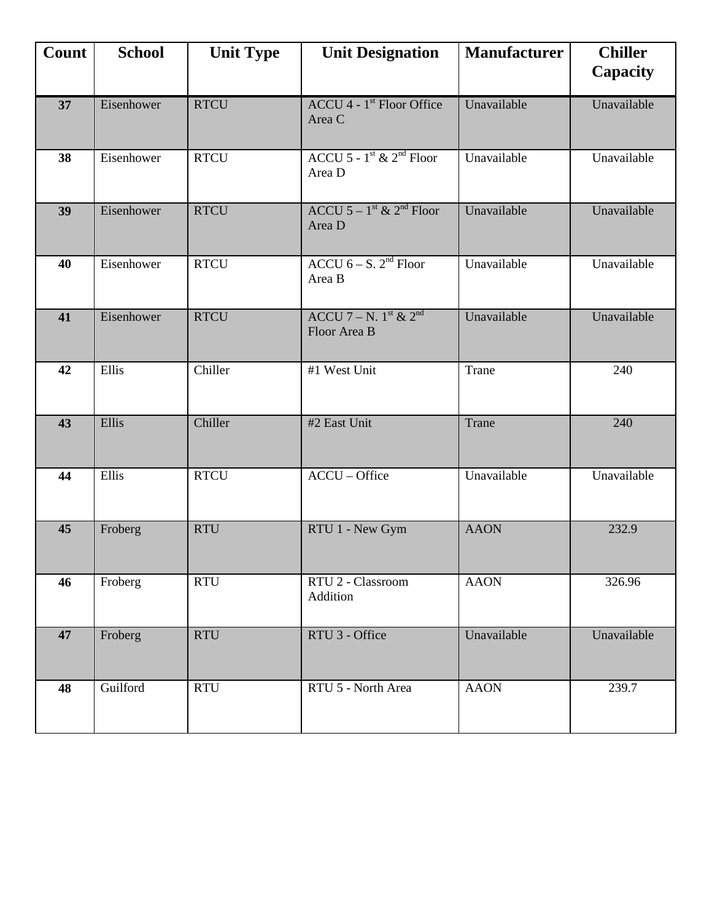| Count | <b>School</b> | <b>Unit Type</b> | <b>Unit Designation</b>                                       | <b>Manufacturer</b> | <b>Chiller</b><br><b>Capacity</b> |
|-------|---------------|------------------|---------------------------------------------------------------|---------------------|-----------------------------------|
| 37    | Eisenhower    | <b>RTCU</b>      | $ACCU$ 4 - 1 <sup>st</sup> Floor Office<br>Area C             | Unavailable         | Unavailable                       |
| 38    | Eisenhower    | <b>RTCU</b>      | ACCU 5 - $1^{\text{st}}$ & $2^{\text{nd}}$ Floor<br>Area D    | Unavailable         | Unavailable                       |
| 39    | Eisenhower    | <b>RTCU</b>      | ACCU $5-1$ <sup>st</sup> & 2 <sup>nd</sup> Floor<br>Area D    | Unavailable         | Unavailable                       |
| 40    | Eisenhower    | <b>RTCU</b>      | ACCU $6 - S$ . $2nd$ Floor<br>Area B                          | Unavailable         | Unavailable                       |
| 41    | Eisenhower    | <b>RTCU</b>      | ACCU 7 – N. $1^{\text{st}}$ & $2^{\text{nd}}$<br>Floor Area B | Unavailable         | Unavailable                       |
| 42    | Ellis         | Chiller          | #1 West Unit                                                  | Trane               | 240                               |
| 43    | Ellis         | Chiller          | #2 East Unit                                                  | Trane               | 240                               |
| 44    | Ellis         | <b>RTCU</b>      | ACCU - Office                                                 | Unavailable         | Unavailable                       |
| 45    | Froberg       | <b>RTU</b>       | RTU 1 - New Gym                                               | <b>AAON</b>         | 232.9                             |
| 46    | Froberg       | <b>RTU</b>       | RTU 2 - Classroom<br>Addition                                 | <b>AAON</b>         | 326.96                            |
| 47    | Froberg       | <b>RTU</b>       | RTU 3 - Office                                                | Unavailable         | Unavailable                       |
| 48    | Guilford      | <b>RTU</b>       | RTU 5 - North Area                                            | <b>AAON</b>         | 239.7                             |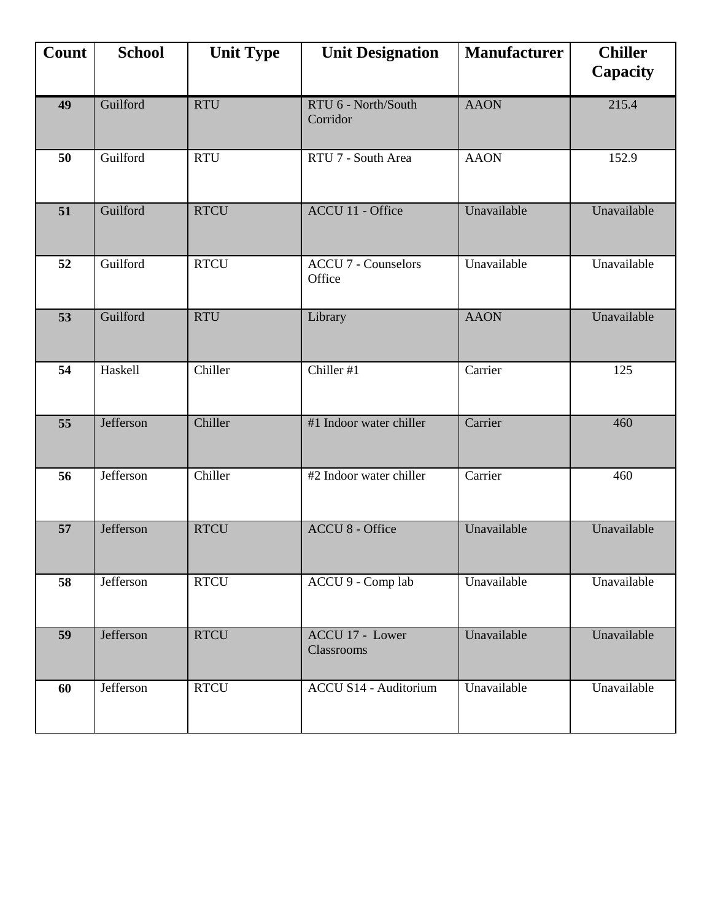| Count           | <b>School</b> | <b>Unit Type</b> | <b>Unit Designation</b><br><b>Manufacturer</b> |             | <b>Chiller</b><br>Capacity |
|-----------------|---------------|------------------|------------------------------------------------|-------------|----------------------------|
| 49              | Guilford      | <b>RTU</b>       | RTU 6 - North/South<br>Corridor                | <b>AAON</b> | 215.4                      |
| 50              | Guilford      | <b>RTU</b>       | RTU 7 - South Area                             | <b>AAON</b> | 152.9                      |
| 51              | Guilford      | <b>RTCU</b>      | ACCU 11 - Office                               | Unavailable | Unavailable                |
| 52              | Guilford      | <b>RTCU</b>      | <b>ACCU 7 - Counselors</b><br>Office           | Unavailable | Unavailable                |
| $\overline{53}$ | Guilford      | <b>RTU</b>       | Library                                        | <b>AAON</b> | Unavailable                |
| 54              | Haskell       | Chiller          | Chiller #1                                     | Carrier     | 125                        |
| 55              | Jefferson     | Chiller          | #1 Indoor water chiller                        | Carrier     | 460                        |
| 56              | Jefferson     | Chiller          | #2 Indoor water chiller                        | Carrier     | 460                        |
| 57              | Jefferson     | <b>RTCU</b>      | <b>ACCU 8 - Office</b>                         | Unavailable | Unavailable                |
| 58              | Jefferson     | <b>RTCU</b>      | ACCU 9 - Comp lab                              | Unavailable | Unavailable                |
| 59              | Jefferson     | <b>RTCU</b>      | ACCU 17 - Lower<br>Classrooms                  | Unavailable | Unavailable                |
| 60              | Jefferson     | <b>RTCU</b>      | <b>ACCU S14 - Auditorium</b>                   | Unavailable | Unavailable                |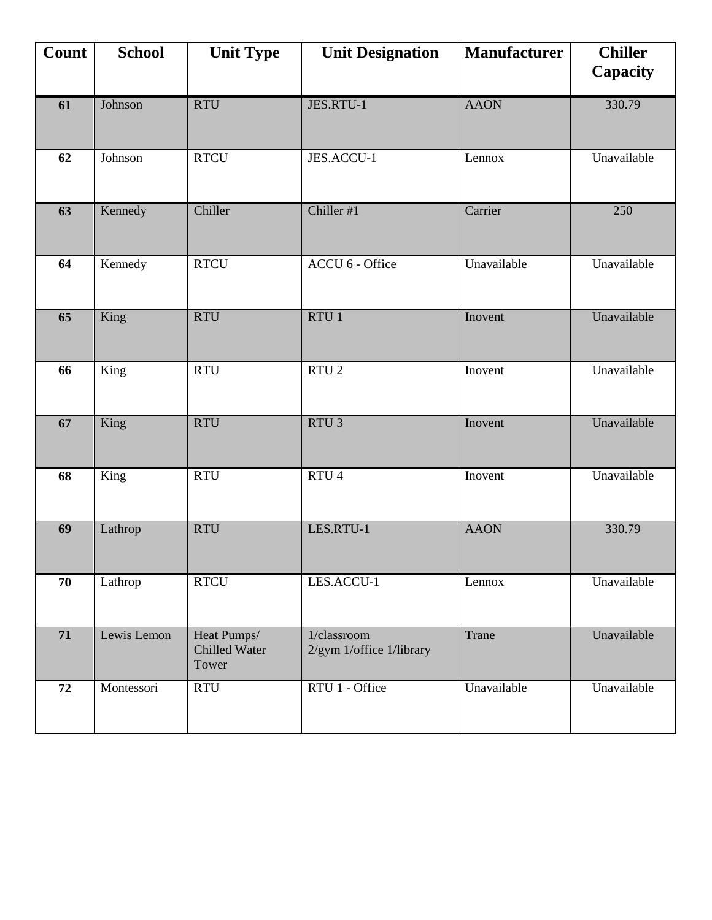| Count           | <b>School</b> | <b>Unit Type</b>                             | <b>Unit Designation</b>                 | <b>Manufacturer</b> | <b>Chiller</b><br>Capacity |
|-----------------|---------------|----------------------------------------------|-----------------------------------------|---------------------|----------------------------|
| 61              | Johnson       | <b>RTU</b>                                   | JES.RTU-1                               | <b>AAON</b>         | 330.79                     |
| 62              | Johnson       | <b>RTCU</b>                                  | JES.ACCU-1                              | Lennox              | Unavailable                |
| 63              | Kennedy       | Chiller                                      | Chiller #1                              | Carrier             | 250                        |
| 64              | Kennedy       | <b>RTCU</b>                                  | ACCU 6 - Office                         | Unavailable         | Unavailable                |
| $\overline{65}$ | King          | <b>RTU</b>                                   | RTU1                                    | Inovent             | Unavailable                |
| 66              | King          | <b>RTU</b>                                   | $RTU$ 2                                 | Inovent             | Unavailable                |
| 67              | King          | <b>RTU</b>                                   | RTU <sub>3</sub>                        | Inovent             | Unavailable                |
| 68              | King          | <b>RTU</b>                                   | RTU <sub>4</sub>                        | Inovent             | Unavailable                |
| 69              | Lathrop       | <b>RTU</b>                                   | LES.RTU-1                               | <b>AAON</b>         | 330.79                     |
| 70              | Lathrop       | <b>RTCU</b>                                  | LES.ACCU-1                              | Lennox              | Unavailable                |
| 71              | Lewis Lemon   | Heat Pumps/<br><b>Chilled Water</b><br>Tower | 1/classroom<br>2/gym 1/office 1/library | Trane               | Unavailable                |
| 72              | Montessori    | RTU                                          | RTU 1 - Office                          | Unavailable         | Unavailable                |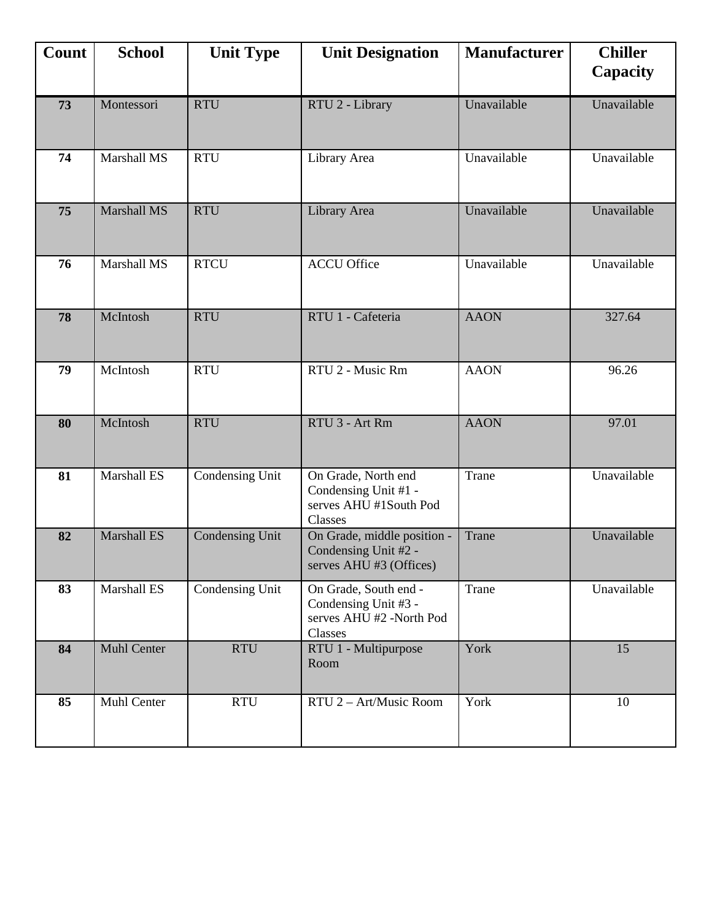| Count | <b>School</b>      | <b>Unit Type</b>       | <b>Unit Designation</b>                                                              | <b>Manufacturer</b> | <b>Chiller</b><br>Capacity |
|-------|--------------------|------------------------|--------------------------------------------------------------------------------------|---------------------|----------------------------|
| 73    | Montessori         | <b>RTU</b>             | RTU 2 - Library                                                                      | Unavailable         | Unavailable                |
| 74    | Marshall MS        | <b>RTU</b>             | Library Area                                                                         | Unavailable         | Unavailable                |
| 75    | Marshall MS        | <b>RTU</b>             | Library Area                                                                         | Unavailable         | Unavailable                |
| 76    | Marshall MS        | <b>RTCU</b>            | <b>ACCU Office</b>                                                                   | Unavailable         | Unavailable                |
| 78    | McIntosh           | <b>RTU</b>             | RTU 1 - Cafeteria                                                                    | <b>AAON</b>         | 327.64                     |
| 79    | McIntosh           | <b>RTU</b>             | RTU 2 - Music Rm                                                                     | <b>AAON</b>         | 96.26                      |
| 80    | McIntosh           | <b>RTU</b>             | RTU 3 - Art Rm                                                                       | <b>AAON</b>         | 97.01                      |
| 81    | Marshall ES        | Condensing Unit        | On Grade, North end<br>Condensing Unit #1 -<br>serves AHU #1South Pod<br>Classes     | Trane               | Unavailable                |
| 82    | <b>Marshall ES</b> | <b>Condensing Unit</b> | On Grade, middle position -<br>Condensing Unit #2 -<br>serves AHU #3 (Offices)       | Trane               | Unavailable                |
| 83    | Marshall ES        | Condensing Unit        | On Grade, South end -<br>Condensing Unit #3 -<br>serves AHU #2 -North Pod<br>Classes | Trane               | Unavailable                |
| 84    | <b>Muhl Center</b> | <b>RTU</b>             | RTU 1 - Multipurpose<br>Room                                                         | York                | 15                         |
| 85    | Muhl Center        | <b>RTU</b>             | RTU 2 - Art/Music Room                                                               | York                | 10                         |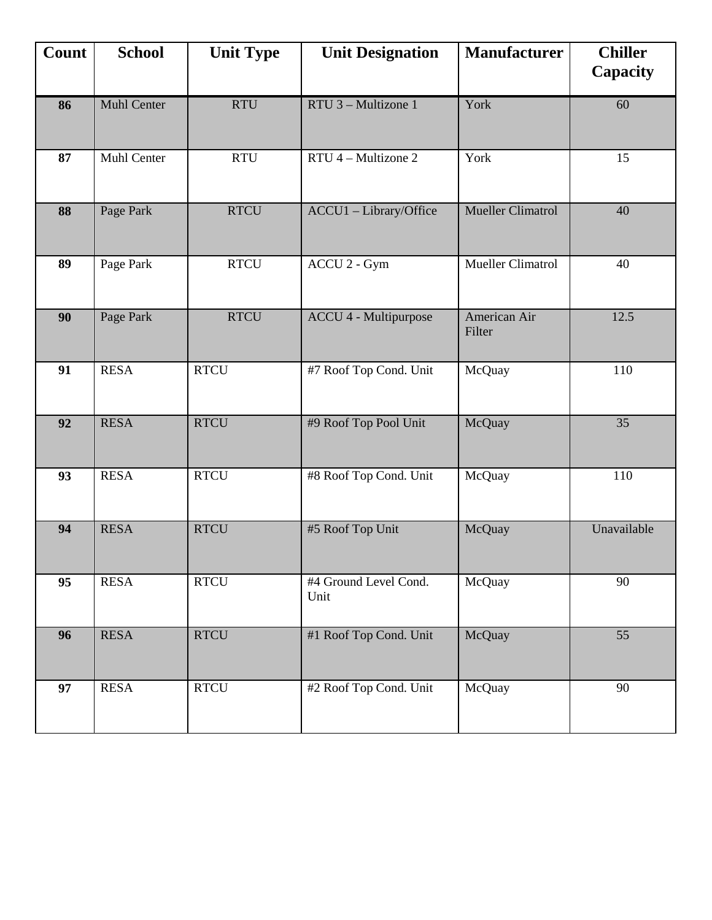| Count | <b>School</b>      | <b>Unit Type</b> | <b>Unit Designation</b>       | <b>Manufacturer</b>      | <b>Chiller</b><br><b>Capacity</b> |
|-------|--------------------|------------------|-------------------------------|--------------------------|-----------------------------------|
| 86    | <b>Muhl Center</b> | <b>RTU</b>       | RTU 3 - Multizone 1           | York                     | 60                                |
| 87    | <b>Muhl Center</b> | <b>RTU</b>       | RTU 4 - Multizone 2           | York                     | 15                                |
| 88    | Page Park          | <b>RTCU</b>      | ACCU1 - Library/Office        | <b>Mueller Climatrol</b> | 40                                |
| 89    | Page Park          | <b>RTCU</b>      | ACCU 2 - Gym                  | <b>Mueller Climatrol</b> | 40                                |
| 90    | Page Park          | <b>RTCU</b>      | <b>ACCU 4 - Multipurpose</b>  | American Air<br>Filter   | 12.5                              |
| 91    | <b>RESA</b>        | <b>RTCU</b>      | #7 Roof Top Cond. Unit        | McQuay                   | 110                               |
| 92    | <b>RESA</b>        | <b>RTCU</b>      | #9 Roof Top Pool Unit         | McQuay                   | 35                                |
| 93    | <b>RESA</b>        | <b>RTCU</b>      | #8 Roof Top Cond. Unit        | McQuay                   | 110                               |
| 94    | <b>RESA</b>        | <b>RTCU</b>      | #5 Roof Top Unit              | McQuay                   | Unavailable                       |
| 95    | <b>RESA</b>        | <b>RTCU</b>      | #4 Ground Level Cond.<br>Unit | McQuay                   | 90                                |
| 96    | <b>RESA</b>        | <b>RTCU</b>      | #1 Roof Top Cond. Unit        | McQuay                   | 55                                |
| 97    | <b>RESA</b>        | <b>RTCU</b>      | #2 Roof Top Cond. Unit        | McQuay                   | 90                                |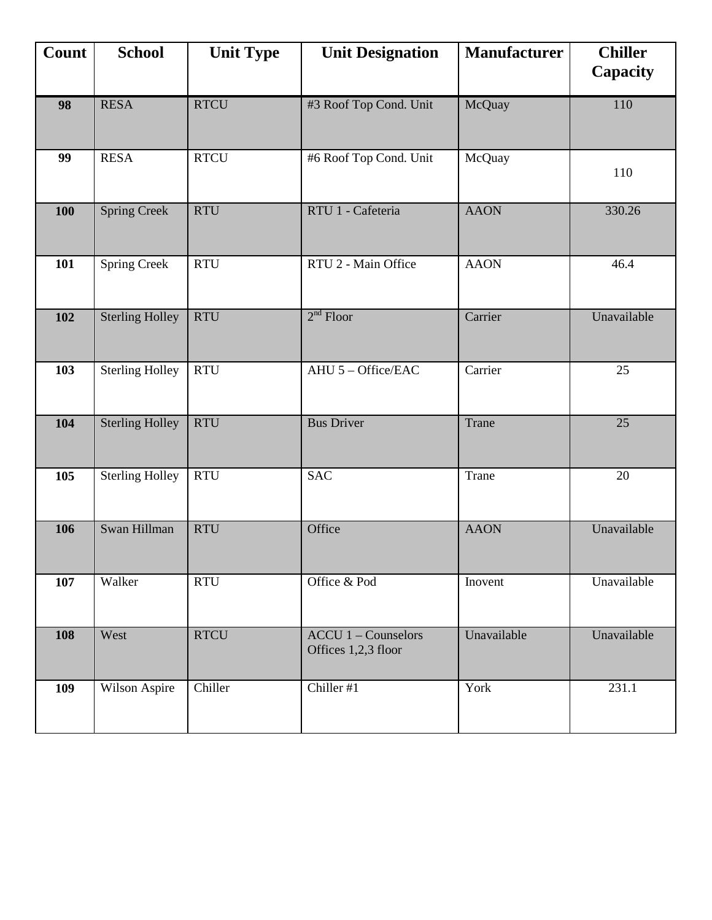| Count | <b>School</b>          | <b>Unit Type</b> | <b>Unit Designation</b>                             | <b>Manufacturer</b> | <b>Chiller</b><br>Capacity |
|-------|------------------------|------------------|-----------------------------------------------------|---------------------|----------------------------|
| 98    | <b>RESA</b>            | <b>RTCU</b>      | #3 Roof Top Cond. Unit                              | McQuay              | 110                        |
| 99    | <b>RESA</b>            | <b>RTCU</b>      | #6 Roof Top Cond. Unit                              | McQuay              | 110                        |
| 100   | <b>Spring Creek</b>    | <b>RTU</b>       | RTU 1 - Cafeteria                                   | <b>AAON</b>         | 330.26                     |
| 101   | <b>Spring Creek</b>    | <b>RTU</b>       | RTU 2 - Main Office                                 | <b>AAON</b>         | 46.4                       |
| 102   | <b>Sterling Holley</b> | <b>RTU</b>       | $2nd$ Floor                                         | Carrier             | Unavailable                |
| 103   | <b>Sterling Holley</b> | <b>RTU</b>       | AHU 5 - Office/EAC                                  | Carrier             | 25                         |
| 104   | <b>Sterling Holley</b> | <b>RTU</b>       | <b>Bus Driver</b>                                   | Trane               | 25                         |
| 105   | <b>Sterling Holley</b> | <b>RTU</b>       | <b>SAC</b>                                          | Trane               | 20                         |
| 106   | Swan Hillman           | <b>RTU</b>       | Office                                              | <b>AAON</b>         | Unavailable                |
| 107   | Walker                 | <b>RTU</b>       | Office & Pod                                        | Inovent             | Unavailable                |
| 108   | West                   | <b>RTCU</b>      | $ACCU 1 - \text{Counselors}$<br>Offices 1,2,3 floor | Unavailable         | Unavailable                |
| 109   | Wilson Aspire          | Chiller          | Chiller #1                                          | York                | 231.1                      |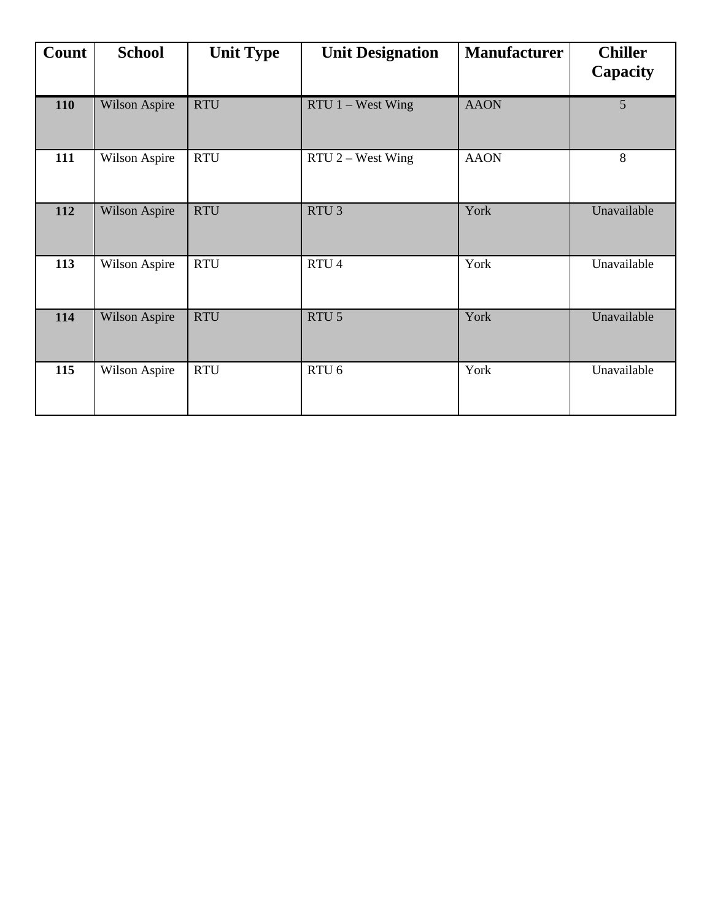| Count | <b>School</b>        | <b>Unit Type</b> | <b>Unit Designation</b> | <b>Manufacturer</b> | <b>Chiller</b><br>Capacity |
|-------|----------------------|------------------|-------------------------|---------------------|----------------------------|
| 110   | <b>Wilson Aspire</b> | <b>RTU</b>       | $RTU$ 1 – West Wing     | <b>AAON</b>         | 5                          |
| 111   | Wilson Aspire        | <b>RTU</b>       | RTU 2 - West Wing       | <b>AAON</b>         | 8                          |
| 112   | Wilson Aspire        | <b>RTU</b>       | RTU <sub>3</sub>        | York                | Unavailable                |
| 113   | Wilson Aspire        | <b>RTU</b>       | RTU <sub>4</sub>        | York                | Unavailable                |
| 114   | Wilson Aspire        | <b>RTU</b>       | RTU <sub>5</sub>        | York                | Unavailable                |
| 115   | Wilson Aspire        | <b>RTU</b>       | RTU <sub>6</sub>        | York                | Unavailable                |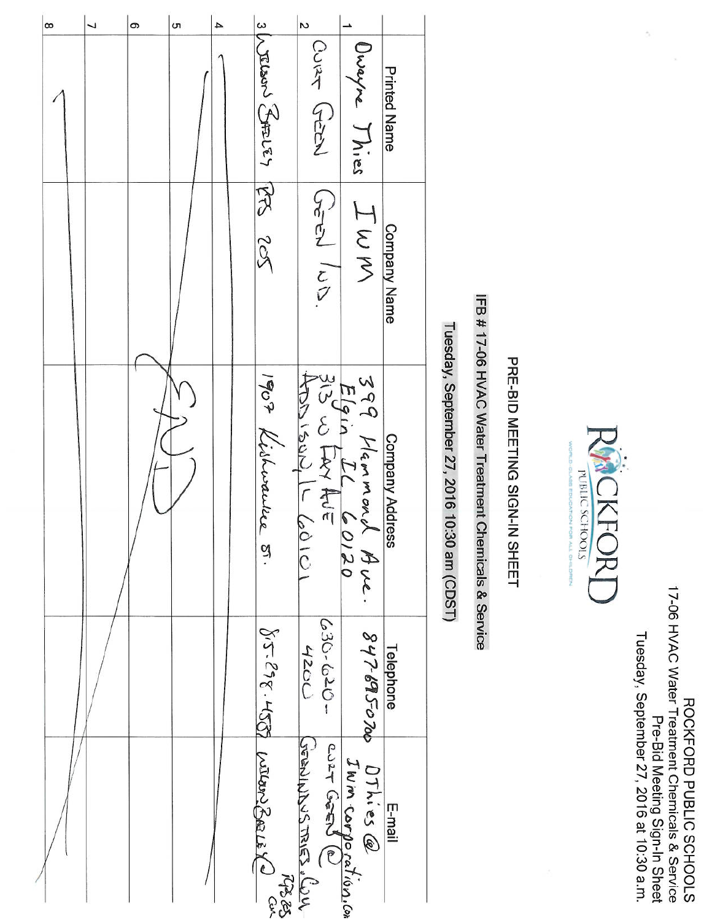| CNTCJA | Tuesday, September 27, 2016 at 10:30 a.m. |                               | 17-06 HVAC Water Treatment Chemicals & Service | <b>ROCKFORD PUBLIC SCHOOLS</b> |  |
|--------|-------------------------------------------|-------------------------------|------------------------------------------------|--------------------------------|--|
|        |                                           | Pre-Bid Meeting Sign-In Sheet |                                                |                                |  |

 $\hat{\mathcal{S}}$ 

 $\bar{\alpha}$ 



# PRE-BID MEETING SIGN-IN SHEET

# IFB #17-06 HVAC Water Treatment Chemicals & Service

Tuesday, September 27, 2016 10:30 am (CDST)

| 8 | 7 | თ | <b>ທ</b> | 4 |                       | $\overline{6}$            |                                                     |                        |
|---|---|---|----------|---|-----------------------|---------------------------|-----------------------------------------------------|------------------------|
|   |   |   |          |   | shousen tres PES 205  | Cost Crient               | Uwayne Thies                                        | <b>Printed Name</b>    |
|   |   |   |          |   |                       | Sper ICO                  | IWW                                                 | Company Name           |
|   |   |   |          |   | 1907 Kishwaukee<br>ù. | イフラントロック<br>$\frac{1}{2}$ | 399 Manmond Aux.<br>Elgin IL COI20<br>313 W FAY AVE | <b>Company Address</b> |
|   |   |   |          |   |                       | $-050 - 050$<br>4200      | 847-6950700                                         | Telephone              |
|   |   |   |          |   | VT-218-450 MERICA     | IWM COrporation.com       | OThies @                                            | E-mail                 |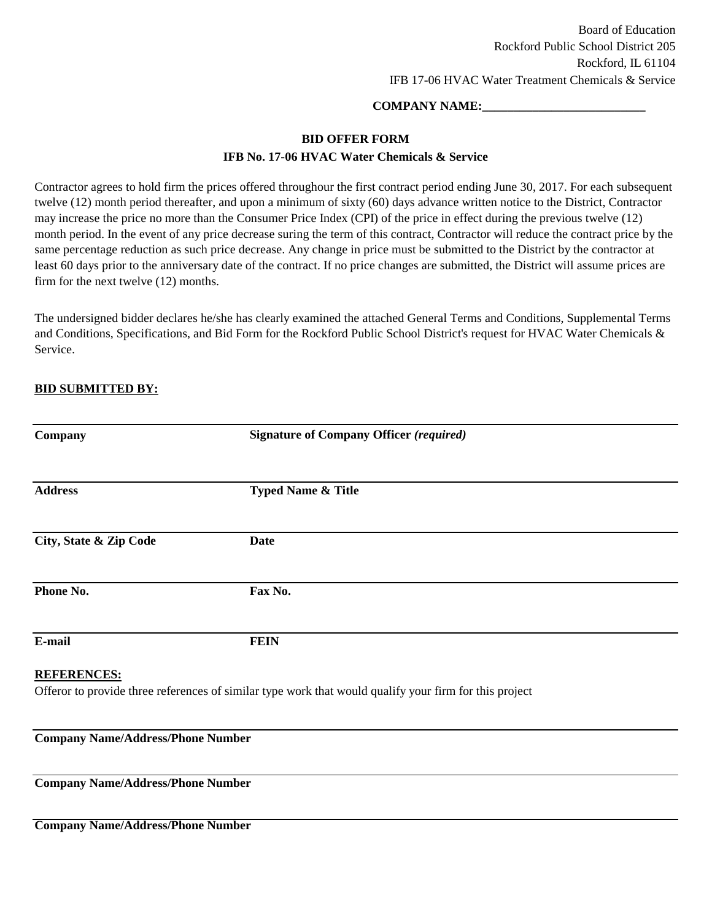### **COMPANY NAME:\_\_\_\_\_\_\_\_\_\_\_\_\_\_\_\_\_\_\_\_\_\_\_\_\_\_**

### **BID OFFER FORM**

### **IFB No. 17-06 HVAC Water Chemicals & Service**

Contractor agrees to hold firm the prices offered throughour the first contract period ending June 30, 2017. For each subsequent twelve (12) month period thereafter, and upon a minimum of sixty (60) days advance written notice to the District, Contractor may increase the price no more than the Consumer Price Index (CPI) of the price in effect during the previous twelve (12) month period. In the event of any price decrease suring the term of this contract, Contractor will reduce the contract price by the same percentage reduction as such price decrease. Any change in price must be submitted to the District by the contractor at least 60 days prior to the anniversary date of the contract. If no price changes are submitted, the District will assume prices are firm for the next twelve (12) months.

The undersigned bidder declares he/she has clearly examined the attached General Terms and Conditions, Supplemental Terms and Conditions, Specifications, and Bid Form for the Rockford Public School District's request for HVAC Water Chemicals & Service.

### **BID SUBMITTED BY:**

| Company                                  | <b>Signature of Company Officer (required)</b>                                                         |  |
|------------------------------------------|--------------------------------------------------------------------------------------------------------|--|
|                                          |                                                                                                        |  |
| <b>Address</b>                           | <b>Typed Name &amp; Title</b>                                                                          |  |
|                                          |                                                                                                        |  |
| City, State & Zip Code                   | <b>Date</b>                                                                                            |  |
|                                          |                                                                                                        |  |
| Phone No.                                | Fax No.                                                                                                |  |
|                                          |                                                                                                        |  |
| E-mail                                   | <b>FEIN</b>                                                                                            |  |
| <b>REFERENCES:</b>                       |                                                                                                        |  |
|                                          | Offeror to provide three references of similar type work that would qualify your firm for this project |  |
|                                          |                                                                                                        |  |
| <b>Company Name/Address/Phone Number</b> |                                                                                                        |  |

**Company Name/Address/Phone Number**

**Company Name/Address/Phone Number**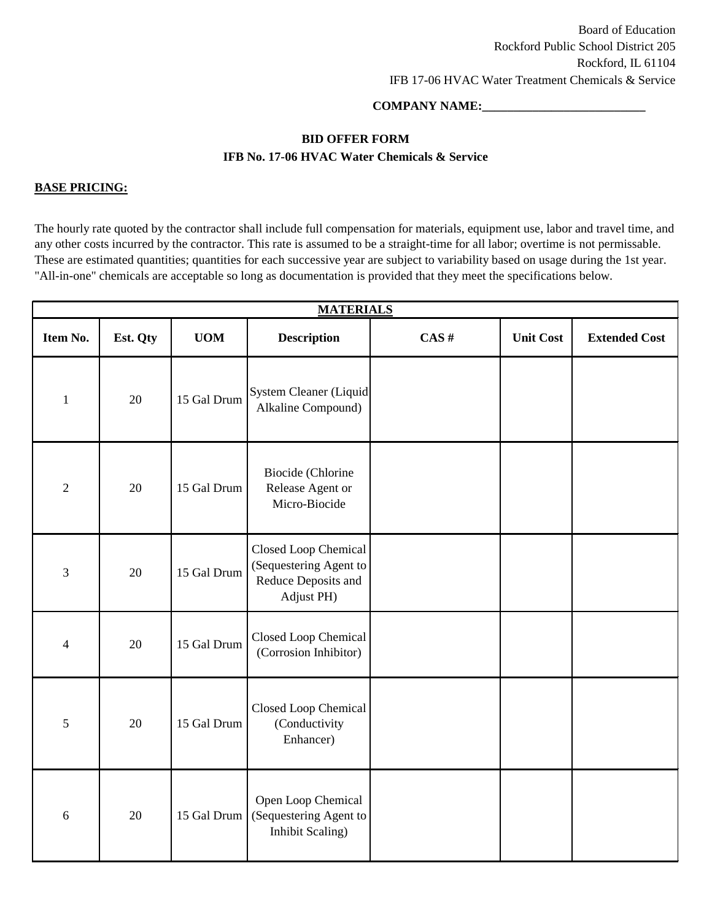### **COMPANY NAME:\_\_\_\_\_\_\_\_\_\_\_\_\_\_\_\_\_\_\_\_\_\_\_\_\_\_**

### **BID OFFER FORM IFB No. 17-06 HVAC Water Chemicals & Service**

### **BASE PRICING:**

The hourly rate quoted by the contractor shall include full compensation for materials, equipment use, labor and travel time, and any other costs incurred by the contractor. This rate is assumed to be a straight-time for all labor; overtime is not permissable. These are estimated quantities; quantities for each successive year are subject to variability based on usage during the 1st year. "All-in-one" chemicals are acceptable so long as documentation is provided that they meet the specifications below.

| <b>MATERIALS</b> |          |             |                                                                                     |      |                  |                      |  |  |
|------------------|----------|-------------|-------------------------------------------------------------------------------------|------|------------------|----------------------|--|--|
| Item No.         | Est. Qty | <b>UOM</b>  | <b>Description</b>                                                                  | CAS# | <b>Unit Cost</b> | <b>Extended Cost</b> |  |  |
| $\mathbf{1}$     | 20       | 15 Gal Drum | System Cleaner (Liquid<br>Alkaline Compound)                                        |      |                  |                      |  |  |
| $\overline{2}$   | 20       | 15 Gal Drum | Biocide (Chlorine<br>Release Agent or<br>Micro-Biocide                              |      |                  |                      |  |  |
| 3                | 20       | 15 Gal Drum | Closed Loop Chemical<br>(Sequestering Agent to<br>Reduce Deposits and<br>Adjust PH) |      |                  |                      |  |  |
| $\overline{4}$   | 20       | 15 Gal Drum | Closed Loop Chemical<br>(Corrosion Inhibitor)                                       |      |                  |                      |  |  |
| $\mathfrak s$    | 20       | 15 Gal Drum | Closed Loop Chemical<br>(Conductivity<br>Enhancer)                                  |      |                  |                      |  |  |
| $\sqrt{6}$       | 20       | 15 Gal Drum | Open Loop Chemical<br>(Sequestering Agent to<br>Inhibit Scaling)                    |      |                  |                      |  |  |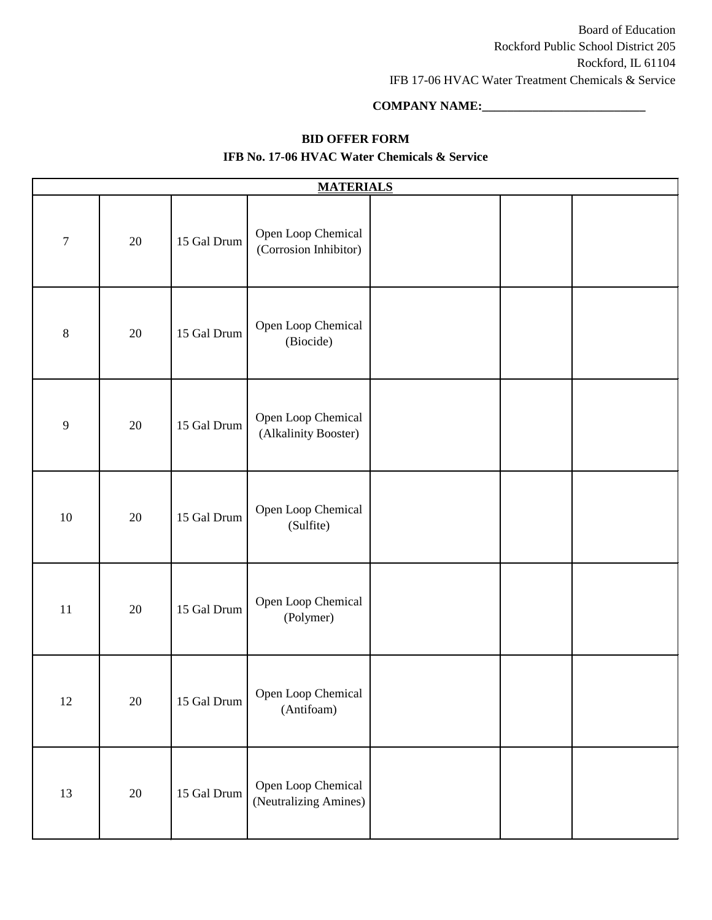### **COMPANY NAME:\_\_\_\_\_\_\_\_\_\_\_\_\_\_\_\_\_\_\_\_\_\_\_\_\_\_**

### **BID OFFER FORM**

| <b>MATERIALS</b> |        |             |                                             |  |  |  |  |
|------------------|--------|-------------|---------------------------------------------|--|--|--|--|
| $\boldsymbol{7}$ | 20     | 15 Gal Drum | Open Loop Chemical<br>(Corrosion Inhibitor) |  |  |  |  |
| $\,8\,$          | 20     | 15 Gal Drum | Open Loop Chemical<br>(Biocide)             |  |  |  |  |
| $\mathbf{9}$     | 20     | 15 Gal Drum | Open Loop Chemical<br>(Alkalinity Booster)  |  |  |  |  |
| 10               | $20\,$ | 15 Gal Drum | Open Loop Chemical<br>(Sulfite)             |  |  |  |  |
| 11               | 20     | 15 Gal Drum | Open Loop Chemical<br>(Polymer)             |  |  |  |  |
| $12\,$           | $20\,$ | 15 Gal Drum | Open Loop Chemical<br>(Antifoam)            |  |  |  |  |
| 13               | $20\,$ | 15 Gal Drum | Open Loop Chemical<br>(Neutralizing Amines) |  |  |  |  |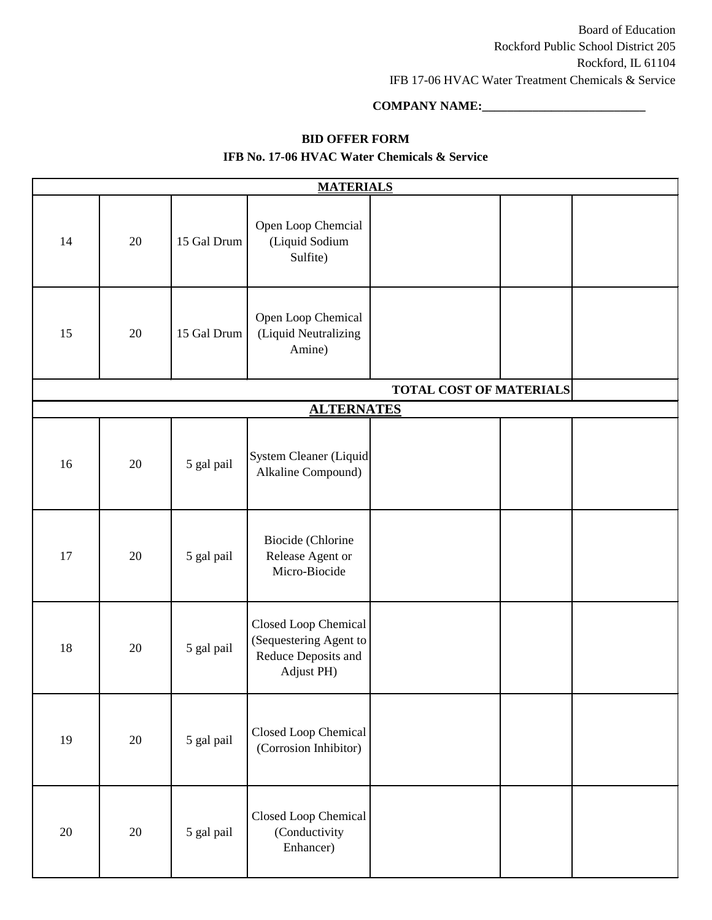### **COMPANY NAME:\_\_\_\_\_\_\_\_\_\_\_\_\_\_\_\_\_\_\_\_\_\_\_\_\_\_**

### **BID OFFER FORM**

|    |    |             | <b>MATERIALS</b>                                                                    |                                |  |
|----|----|-------------|-------------------------------------------------------------------------------------|--------------------------------|--|
| 14 | 20 | 15 Gal Drum | Open Loop Chemcial<br>(Liquid Sodium<br>Sulfite)                                    |                                |  |
| 15 | 20 | 15 Gal Drum | Open Loop Chemical<br>(Liquid Neutralizing<br>Amine)                                |                                |  |
|    |    |             |                                                                                     | <b>TOTAL COST OF MATERIALS</b> |  |
|    |    |             | <b>ALTERNATES</b>                                                                   |                                |  |
| 16 | 20 | 5 gal pail  | System Cleaner (Liquid<br>Alkaline Compound)                                        |                                |  |
| 17 | 20 | 5 gal pail  | Biocide (Chlorine<br>Release Agent or<br>Micro-Biocide                              |                                |  |
| 18 | 20 | 5 gal pail  | Closed Loop Chemical<br>(Sequestering Agent to<br>Reduce Deposits and<br>Adjust PH) |                                |  |
| 19 | 20 | 5 gal pail  | Closed Loop Chemical<br>(Corrosion Inhibitor)                                       |                                |  |
| 20 | 20 | 5 gal pail  | Closed Loop Chemical<br>(Conductivity<br>Enhancer)                                  |                                |  |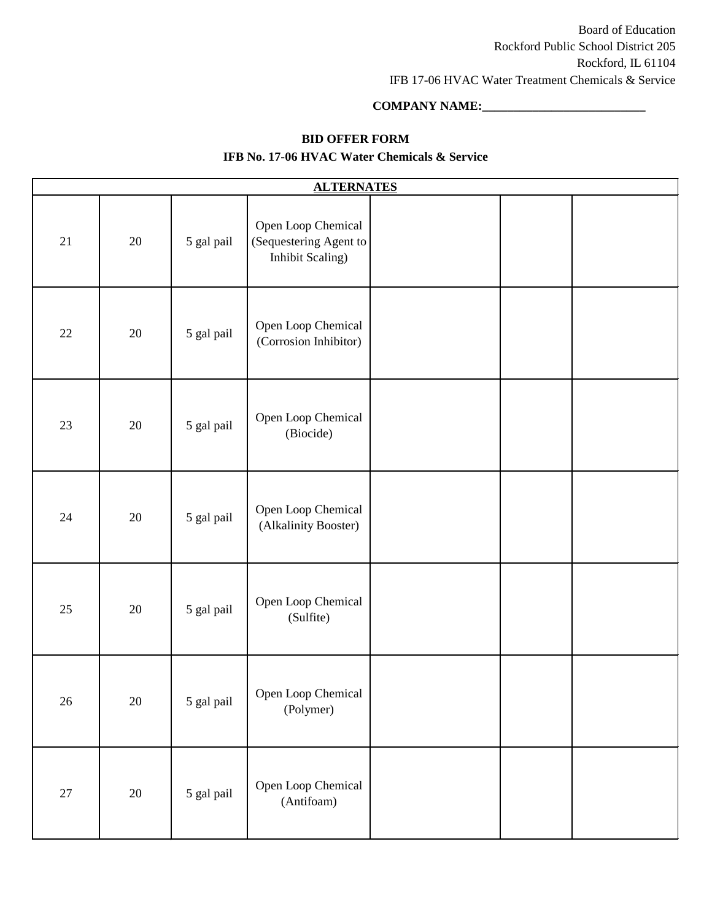### **COMPANY NAME:\_\_\_\_\_\_\_\_\_\_\_\_\_\_\_\_\_\_\_\_\_\_\_\_\_\_**

### **BID OFFER FORM**

| <b>ALTERNATES</b> |        |            |                                                                  |  |  |  |  |  |  |
|-------------------|--------|------------|------------------------------------------------------------------|--|--|--|--|--|--|
| 21                | 20     | 5 gal pail | Open Loop Chemical<br>(Sequestering Agent to<br>Inhibit Scaling) |  |  |  |  |  |  |
| 22                | 20     | 5 gal pail | Open Loop Chemical<br>(Corrosion Inhibitor)                      |  |  |  |  |  |  |
| 23                | 20     | 5 gal pail | Open Loop Chemical<br>(Biocide)                                  |  |  |  |  |  |  |
| 24                | 20     | 5 gal pail | Open Loop Chemical<br>(Alkalinity Booster)                       |  |  |  |  |  |  |
| 25                | 20     | 5 gal pail | Open Loop Chemical<br>(Sulfite)                                  |  |  |  |  |  |  |
| 26                | $20\,$ | 5 gal pail | Open Loop Chemical<br>(Polymer)                                  |  |  |  |  |  |  |
| $27\,$            | $20\,$ | 5 gal pail | Open Loop Chemical<br>(Antifoam)                                 |  |  |  |  |  |  |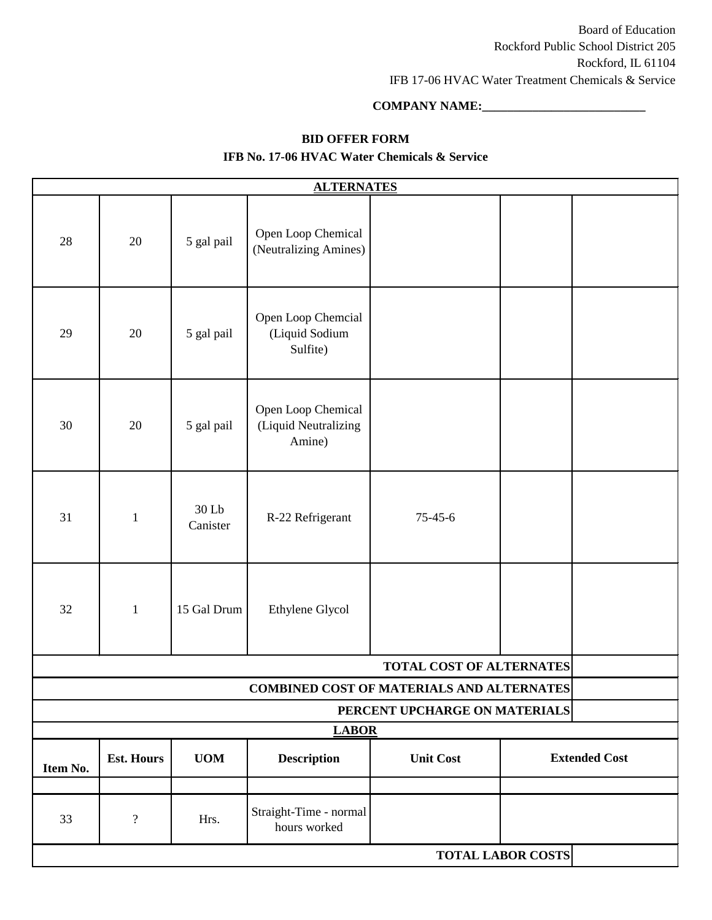### **COMPANY NAME:\_\_\_\_\_\_\_\_\_\_\_\_\_\_\_\_\_\_\_\_\_\_\_\_\_\_**

### **BID OFFER FORM**

| <b>ALTERNATES</b>                                |                   |                   |                                                      |                  |  |                      |  |  |  |  |
|--------------------------------------------------|-------------------|-------------------|------------------------------------------------------|------------------|--|----------------------|--|--|--|--|
| 28                                               | 20                | 5 gal pail        | Open Loop Chemical<br>(Neutralizing Amines)          |                  |  |                      |  |  |  |  |
| 29                                               | 20                | 5 gal pail        | Open Loop Chemcial<br>(Liquid Sodium<br>Sulfite)     |                  |  |                      |  |  |  |  |
| 30                                               | 20                | 5 gal pail        | Open Loop Chemical<br>(Liquid Neutralizing<br>Amine) |                  |  |                      |  |  |  |  |
| 31                                               | $\mathbf{1}$      | 30 Lb<br>Canister | R-22 Refrigerant                                     | $75 - 45 - 6$    |  |                      |  |  |  |  |
| 32                                               | $\mathbf{1}$      | 15 Gal Drum       | Ethylene Glycol                                      |                  |  |                      |  |  |  |  |
| TOTAL COST OF ALTERNATES                         |                   |                   |                                                      |                  |  |                      |  |  |  |  |
| <b>COMBINED COST OF MATERIALS AND ALTERNATES</b> |                   |                   |                                                      |                  |  |                      |  |  |  |  |
| PERCENT UPCHARGE ON MATERIALS                    |                   |                   |                                                      |                  |  |                      |  |  |  |  |
| <b>LABOR</b>                                     |                   |                   |                                                      |                  |  |                      |  |  |  |  |
| Item No.                                         | <b>Est. Hours</b> | <b>UOM</b>        | <b>Description</b>                                   | <b>Unit Cost</b> |  | <b>Extended Cost</b> |  |  |  |  |
| 33                                               | $\overline{?}$    | Hrs.              | Straight-Time - normal<br>hours worked               |                  |  |                      |  |  |  |  |
| <b>TOTAL LABOR COSTS</b>                         |                   |                   |                                                      |                  |  |                      |  |  |  |  |